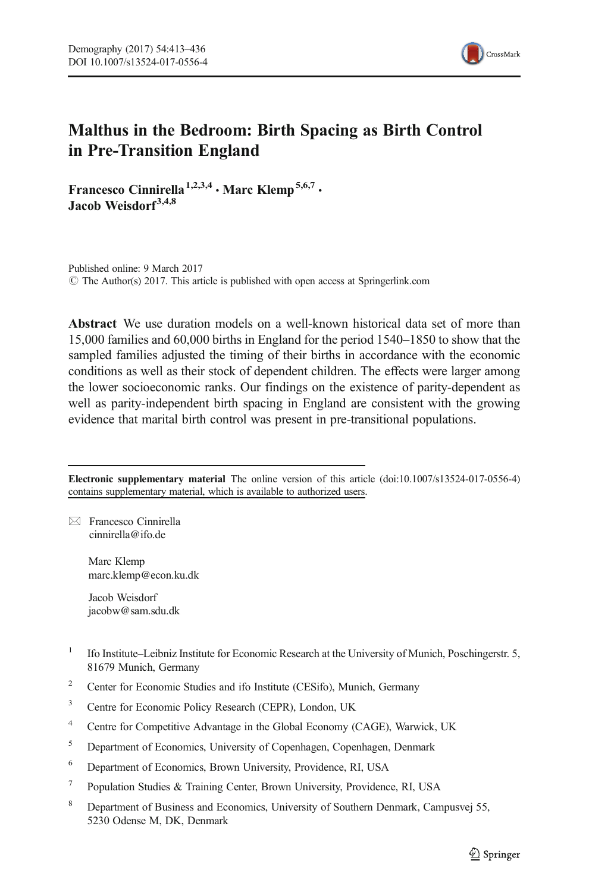

# Malthus in the Bedroom: Birth Spacing as Birth Control in Pre-Transition England

Francesco Cinnirella<sup>1,2,3,4</sup>  $\cdot$  Marc Klemp<sup>5,6,7</sup>  $\cdot$ Jacob Weisdorf<sup>3,4,8</sup>

Published online: 9 March 2017  $\odot$  The Author(s) 2017. This article is published with open access at Springerlink.com

Abstract We use duration models on a well-known historical data set of more than 15,000 families and 60,000 births in England for the period 1540–1850 to show that the sampled families adjusted the timing of their births in accordance with the economic conditions as well as their stock of dependent children. The effects were larger among the lower socioeconomic ranks. Our findings on the existence of parity-dependent as well as parity-independent birth spacing in England are consistent with the growing evidence that marital birth control was present in pre-transitional populations.

Electronic supplementary material The online version of this article (doi:[10.1007/s13524-017-0556-4\)](http://dx.doi.org/10.1007/s13524-017-0556-4) contains supplementary material, which is available to authorized users.

 $\boxtimes$  Francesco Cinnirella cinnirella@ifo.de

> Marc Klemp marc.klemp@econ.ku.dk

Jacob Weisdorf jacobw@sam.sdu.dk

- <sup>1</sup> Ifo Institute–Leibniz Institute for Economic Research at the University of Munich, Poschingerstr. 5, 81679 Munich, Germany
- <sup>2</sup> Center for Economic Studies and ifo Institute (CESifo), Munich, Germany
- <sup>3</sup> Centre for Economic Policy Research (CEPR), London, UK
- <sup>4</sup> Centre for Competitive Advantage in the Global Economy (CAGE), Warwick, UK
- <sup>5</sup> Department of Economics, University of Copenhagen, Copenhagen, Denmark
- <sup>6</sup> Department of Economics, Brown University, Providence, RI, USA
- <sup>7</sup> Population Studies & Training Center, Brown University, Providence, RI, USA
- <sup>8</sup> Department of Business and Economics, University of Southern Denmark, Campusvej 55, 5230 Odense M, DK, Denmark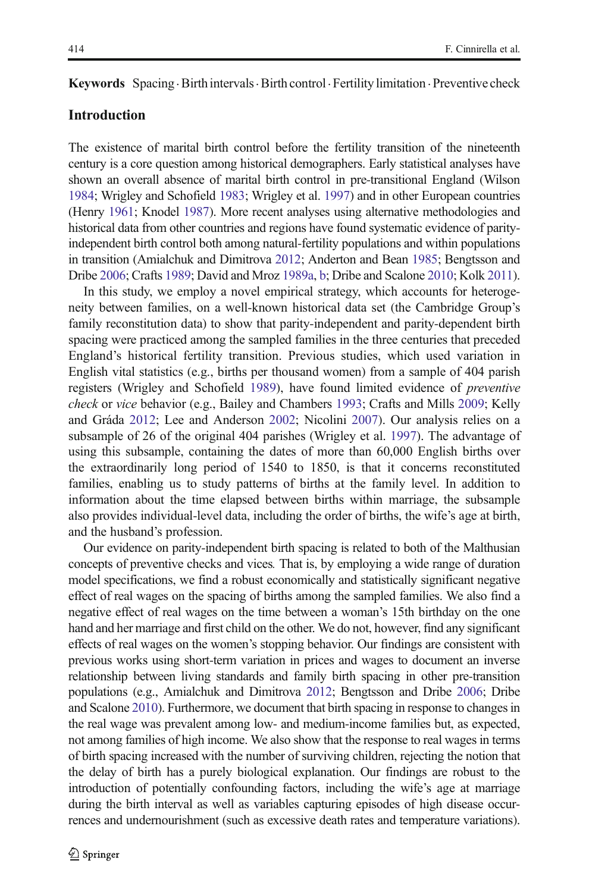# Introduction

The existence of marital birth control before the fertility transition of the nineteenth century is a core question among historical demographers. Early statistical analyses have shown an overall absence of marital birth control in pre-transitional England (Wilson [1984](#page-23-0); Wrigley and Schofield [1983;](#page-23-0) Wrigley et al. [1997](#page-23-0)) and in other European countries (Henry [1961](#page-22-0); Knodel [1987](#page-22-0)). More recent analyses using alternative methodologies and historical data from other countries and regions have found systematic evidence of parityindependent birth control both among natural-fertility populations and within populations in transition (Amialchuk and Dimitrova [2012;](#page-21-0) Anderton and Bean [1985;](#page-21-0) Bengtsson and Dribe [2006;](#page-21-0) Crafts [1989](#page-22-0); David and Mroz [1989a](#page-22-0), [b](#page-22-0); Dribe and Scalone [2010](#page-22-0); Kolk [2011\)](#page-22-0).

In this study, we employ a novel empirical strategy, which accounts for heterogeneity between families, on a well-known historical data set (the Cambridge Group's family reconstitution data) to show that parity-independent and parity-dependent birth spacing were practiced among the sampled families in the three centuries that preceded England's historical fertility transition. Previous studies, which used variation in English vital statistics (e.g., births per thousand women) from a sample of 404 parish registers (Wrigley and Schofield [1989](#page-23-0)), have found limited evidence of preventive check or vice behavior (e.g., Bailey and Chambers [1993](#page-21-0); Crafts and Mills [2009](#page-22-0); Kelly and Gráda [2012](#page-22-0); Lee and Anderson [2002](#page-22-0); Nicolini [2007](#page-22-0)). Our analysis relies on a subsample of 26 of the original 404 parishes (Wrigley et al. [1997\)](#page-23-0). The advantage of using this subsample, containing the dates of more than 60,000 English births over the extraordinarily long period of 1540 to 1850, is that it concerns reconstituted families, enabling us to study patterns of births at the family level. In addition to information about the time elapsed between births within marriage, the subsample also provides individual-level data, including the order of births, the wife's age at birth, and the husband's profession.

Our evidence on parity-independent birth spacing is related to both of the Malthusian concepts of preventive checks and vices. That is, by employing a wide range of duration model specifications, we find a robust economically and statistically significant negative effect of real wages on the spacing of births among the sampled families. We also find a negative effect of real wages on the time between a woman's 15th birthday on the one hand and her marriage and first child on the other. We do not, however, find any significant effects of real wages on the women's stopping behavior. Our findings are consistent with previous works using short-term variation in prices and wages to document an inverse relationship between living standards and family birth spacing in other pre-transition populations (e.g., Amialchuk and Dimitrova [2012;](#page-21-0) Bengtsson and Dribe [2006](#page-21-0); Dribe and Scalone [2010\)](#page-22-0). Furthermore, we document that birth spacing in response to changes in the real wage was prevalent among low- and medium-income families but, as expected, not among families of high income. We also show that the response to real wages in terms of birth spacing increased with the number of surviving children, rejecting the notion that the delay of birth has a purely biological explanation. Our findings are robust to the introduction of potentially confounding factors, including the wife's age at marriage during the birth interval as well as variables capturing episodes of high disease occurrences and undernourishment (such as excessive death rates and temperature variations).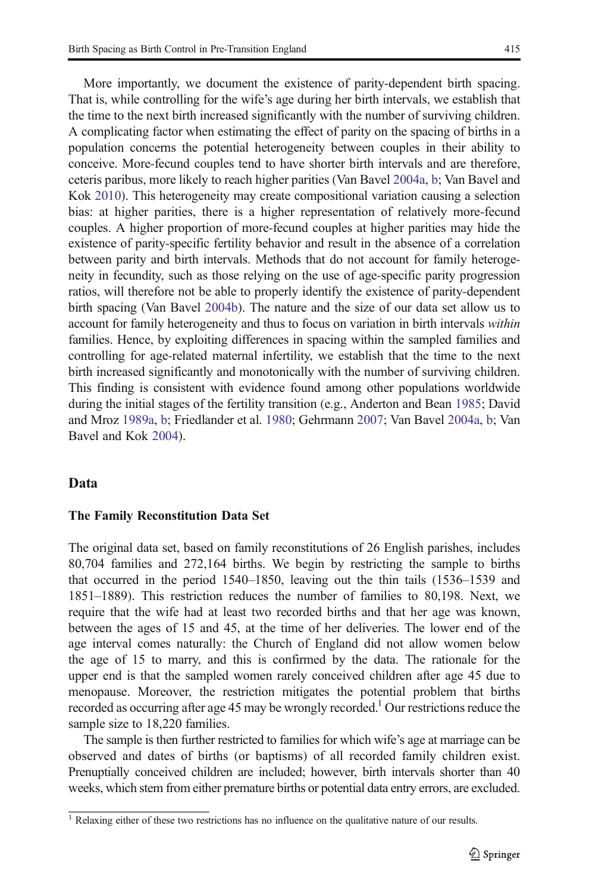More importantly, we document the existence of parity-dependent birth spacing. That is, while controlling for the wife's age during her birth intervals, we establish that the time to the next birth increased significantly with the number of surviving children. A complicating factor when estimating the effect of parity on the spacing of births in a population concerns the potential heterogeneity between couples in their ability to conceive. More-fecund couples tend to have shorter birth intervals and are therefore, ceteris paribus, more likely to reach higher parities (Van Bavel [2004a](#page-22-0), [b;](#page-23-0) Van Bavel and Kok [2010](#page-23-0)). This heterogeneity may create compositional variation causing a selection bias: at higher parities, there is a higher representation of relatively more-fecund couples. A higher proportion of more-fecund couples at higher parities may hide the existence of parity-specific fertility behavior and result in the absence of a correlation between parity and birth intervals. Methods that do not account for family heterogeneity in fecundity, such as those relying on the use of age-specific parity progression ratios, will therefore not be able to properly identify the existence of parity-dependent birth spacing (Van Bavel [2004b\)](#page-23-0). The nature and the size of our data set allow us to account for family heterogeneity and thus to focus on variation in birth intervals within families. Hence, by exploiting differences in spacing within the sampled families and controlling for age-related maternal infertility, we establish that the time to the next birth increased significantly and monotonically with the number of surviving children. This finding is consistent with evidence found among other populations worldwide during the initial stages of the fertility transition (e.g., Anderton and Bean [1985](#page-21-0); David and Mroz [1989a](#page-22-0), [b;](#page-22-0) Friedlander et al. [1980;](#page-22-0) Gehrmann [2007](#page-22-0); Van Bavel [2004a](#page-22-0), [b;](#page-23-0) Van Bavel and Kok [2004](#page-23-0)).

# Data

#### The Family Reconstitution Data Set

The original data set, based on family reconstitutions of 26 English parishes, includes 80,704 families and 272,164 births. We begin by restricting the sample to births that occurred in the period 1540–1850, leaving out the thin tails (1536–1539 and 1851–1889). This restriction reduces the number of families to 80,198. Next, we require that the wife had at least two recorded births and that her age was known, between the ages of 15 and 45, at the time of her deliveries. The lower end of the age interval comes naturally: the Church of England did not allow women below the age of 15 to marry, and this is confirmed by the data. The rationale for the upper end is that the sampled women rarely conceived children after age 45 due to menopause. Moreover, the restriction mitigates the potential problem that births recorded as occurring after age 45 may be wrongly recorded.<sup>1</sup> Our restrictions reduce the sample size to 18,220 families.

The sample is then further restricted to families for which wife's age at marriage can be observed and dates of births (or baptisms) of all recorded family children exist. Prenuptially conceived children are included; however, birth intervals shorter than 40 weeks, which stem from either premature births or potential data entry errors, are excluded.

<sup>&</sup>lt;sup>1</sup> Relaxing either of these two restrictions has no influence on the qualitative nature of our results.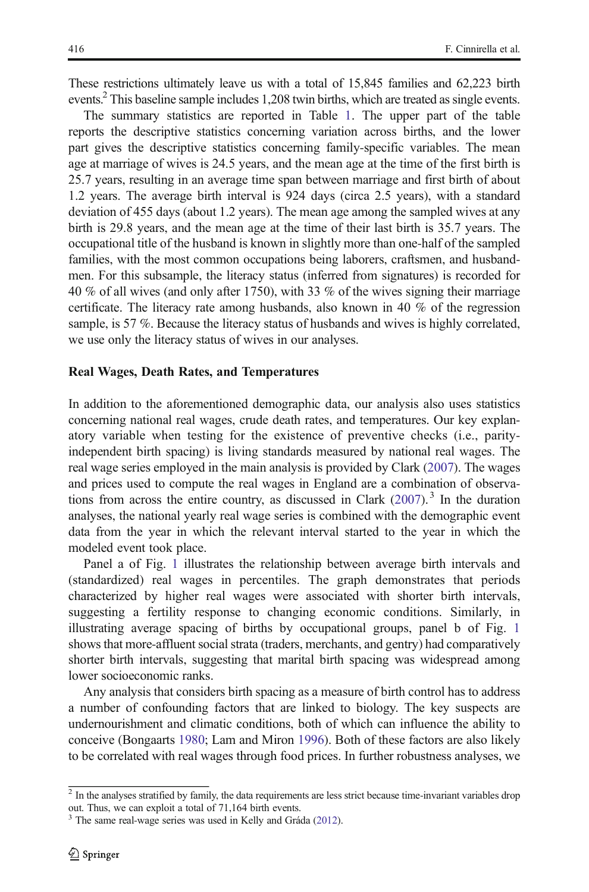These restrictions ultimately leave us with a total of 15,845 families and 62,223 birth events.<sup>2</sup> This baseline sample includes 1,208 twin births, which are treated as single events.

The summary statistics are reported in Table [1](#page-4-0). The upper part of the table reports the descriptive statistics concerning variation across births, and the lower part gives the descriptive statistics concerning family-specific variables. The mean age at marriage of wives is 24.5 years, and the mean age at the time of the first birth is 25.7 years, resulting in an average time span between marriage and first birth of about 1.2 years. The average birth interval is 924 days (circa 2.5 years), with a standard deviation of 455 days (about 1.2 years). The mean age among the sampled wives at any birth is 29.8 years, and the mean age at the time of their last birth is 35.7 years. The occupational title of the husband is known in slightly more than one-half of the sampled families, with the most common occupations being laborers, craftsmen, and husbandmen. For this subsample, the literacy status (inferred from signatures) is recorded for 40 % of all wives (and only after 1750), with 33 % of the wives signing their marriage certificate. The literacy rate among husbands, also known in 40 % of the regression sample, is 57 %. Because the literacy status of husbands and wives is highly correlated, we use only the literacy status of wives in our analyses.

#### Real Wages, Death Rates, and Temperatures

In addition to the aforementioned demographic data, our analysis also uses statistics concerning national real wages, crude death rates, and temperatures. Our key explanatory variable when testing for the existence of preventive checks (i.e., parityindependent birth spacing) is living standards measured by national real wages. The real wage series employed in the main analysis is provided by Clark [\(2007\)](#page-22-0). The wages and prices used to compute the real wages in England are a combination of observations from across the entire country, as discussed in Clark  $(2007)$  $(2007)$  $(2007)$ .<sup>3</sup> In the duration analyses, the national yearly real wage series is combined with the demographic event data from the year in which the relevant interval started to the year in which the modeled event took place.

Panel a of Fig. [1](#page-4-0) illustrates the relationship between average birth intervals and (standardized) real wages in percentiles. The graph demonstrates that periods characterized by higher real wages were associated with shorter birth intervals, suggesting a fertility response to changing economic conditions. Similarly, in illustrating average spacing of births by occupational groups, panel b of Fig. [1](#page-4-0) shows that more-affluent social strata (traders, merchants, and gentry) had comparatively shorter birth intervals, suggesting that marital birth spacing was widespread among lower socioeconomic ranks.

Any analysis that considers birth spacing as a measure of birth control has to address a number of confounding factors that are linked to biology. The key suspects are undernourishment and climatic conditions, both of which can influence the ability to conceive (Bongaarts [1980;](#page-22-0) Lam and Miron [1996\)](#page-22-0). Both of these factors are also likely to be correlated with real wages through food prices. In further robustness analyses, we

 $\frac{2}{10}$  In the analyses stratified by family, the data requirements are less strict because time-invariant variables drop out. Thus, we can exploit a total of 71,164 birth events.

<sup>&</sup>lt;sup>3</sup> The same real-wage series was used in Kelly and Gráda [\(2012\)](#page-22-0).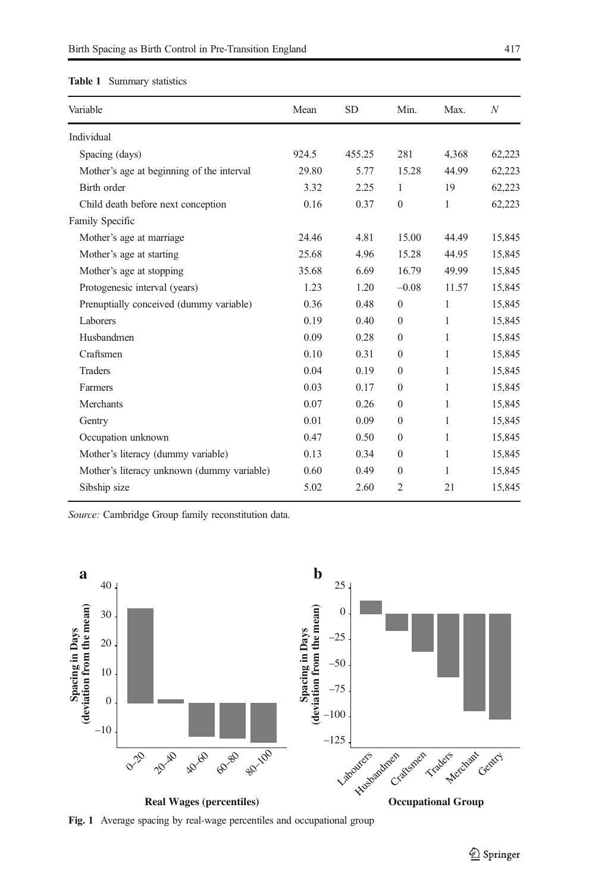#### <span id="page-4-0"></span>Table 1 Summary statistics

| Variable                                   | Mean  | <b>SD</b> | Min.           | Max.  | N      |
|--------------------------------------------|-------|-----------|----------------|-------|--------|
| Individual                                 |       |           |                |       |        |
| Spacing (days)                             | 924.5 | 455.25    | 281            | 4,368 | 62,223 |
| Mother's age at beginning of the interval  | 29.80 | 5.77      | 15.28          | 44.99 | 62,223 |
| Birth order                                | 3.32  | 2.25      | $\mathbf{1}$   | 19    | 62,223 |
| Child death before next conception         | 0.16  | 0.37      | $\mathbf{0}$   | 1     | 62,223 |
| Family Specific                            |       |           |                |       |        |
| Mother's age at marriage                   | 24.46 | 4.81      | 15.00          | 44.49 | 15,845 |
| Mother's age at starting                   | 25.68 | 4.96      | 15.28          | 44.95 | 15,845 |
| Mother's age at stopping                   | 35.68 | 6.69      | 16.79          | 49.99 | 15,845 |
| Protogenesic interval (years)              | 1.23  | 1.20      | $-0.08$        | 11.57 | 15,845 |
| Prenuptially conceived (dummy variable)    | 0.36  | 0.48      | $\mathbf{0}$   | 1     | 15,845 |
| Laborers                                   | 0.19  | 0.40      | $\mathbf{0}$   | 1     | 15,845 |
| Husbandmen                                 | 0.09  | 0.28      | $\mathbf{0}$   | 1     | 15,845 |
| Craftsmen                                  | 0.10  | 0.31      | $\theta$       | 1     | 15,845 |
| Traders                                    | 0.04  | 0.19      | $\Omega$       | 1     | 15,845 |
| Farmers                                    | 0.03  | 0.17      | $\mathbf{0}$   | 1     | 15,845 |
| Merchants                                  | 0.07  | 0.26      | $\mathbf{0}$   | 1     | 15,845 |
| Gentry                                     | 0.01  | 0.09      | $\mathbf{0}$   | 1     | 15,845 |
| Occupation unknown                         | 0.47  | 0.50      | $\mathbf{0}$   | 1     | 15,845 |
| Mother's literacy (dummy variable)         | 0.13  | 0.34      | $\mathbf{0}$   | 1     | 15,845 |
| Mother's literacy unknown (dummy variable) | 0.60  | 0.49      | $\mathbf{0}$   | 1     | 15,845 |
| Sibship size                               | 5.02  | 2.60      | $\overline{c}$ | 21    | 15,845 |

Source: Cambridge Group family reconstitution data.



Fig. 1 Average spacing by real-wage percentiles and occupational group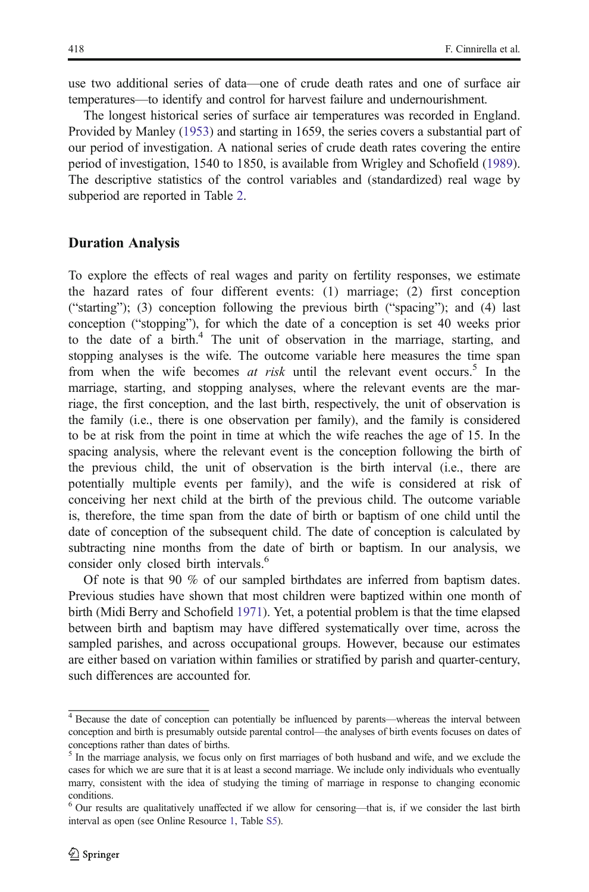use two additional series of data—one of crude death rates and one of surface air temperatures—to identify and control for harvest failure and undernourishment.

The longest historical series of surface air temperatures was recorded in England. Provided by Manley ([1953](#page-22-0)) and starting in 1659, the series covers a substantial part of our period of investigation. A national series of crude death rates covering the entire period of investigation, 1540 to 1850, is available from Wrigley and Schofield [\(1989\)](#page-23-0). The descriptive statistics of the control variables and (standardized) real wage by subperiod are reported in Table [2.](#page-6-0)

### Duration Analysis

To explore the effects of real wages and parity on fertility responses, we estimate the hazard rates of four different events: (1) marriage; (2) first conception ("starting"); (3) conception following the previous birth ("spacing"); and (4) last conception ("stopping"), for which the date of a conception is set 40 weeks prior to the date of a birth.<sup>4</sup> The unit of observation in the marriage, starting, and stopping analyses is the wife. The outcome variable here measures the time span from when the wife becomes *at risk* until the relevant event occurs.<sup>5</sup> In the marriage, starting, and stopping analyses, where the relevant events are the marriage, the first conception, and the last birth, respectively, the unit of observation is the family (i.e., there is one observation per family), and the family is considered to be at risk from the point in time at which the wife reaches the age of 15. In the spacing analysis, where the relevant event is the conception following the birth of the previous child, the unit of observation is the birth interval (i.e., there are potentially multiple events per family), and the wife is considered at risk of conceiving her next child at the birth of the previous child. The outcome variable is, therefore, the time span from the date of birth or baptism of one child until the date of conception of the subsequent child. The date of conception is calculated by subtracting nine months from the date of birth or baptism. In our analysis, we consider only closed birth intervals.<sup>6</sup>

Of note is that 90 % of our sampled birthdates are inferred from baptism dates. Previous studies have shown that most children were baptized within one month of birth (Midi Berry and Schofield [1971](#page-22-0)). Yet, a potential problem is that the time elapsed between birth and baptism may have differed systematically over time, across the sampled parishes, and across occupational groups. However, because our estimates are either based on variation within families or stratified by parish and quarter-century, such differences are accounted for.

<sup>4</sup> Because the date of conception can potentially be influenced by parents—whereas the interval between conception and birth is presumably outside parental control—the analyses of birth events focuses on dates of conceptions rather than dates of births.

<sup>&</sup>lt;sup>5</sup> In the marriage analysis, we focus only on first marriages of both husband and wife, and we exclude the cases for which we are sure that it is at least a second marriage. We include only individuals who eventually marry, consistent with the idea of studying the timing of marriage in response to changing economic conditions.

<sup>6</sup> Our results are qualitatively unaffected if we allow for censoring—that is, if we consider the last birth interval as open (see Online Resource 1, Table S5).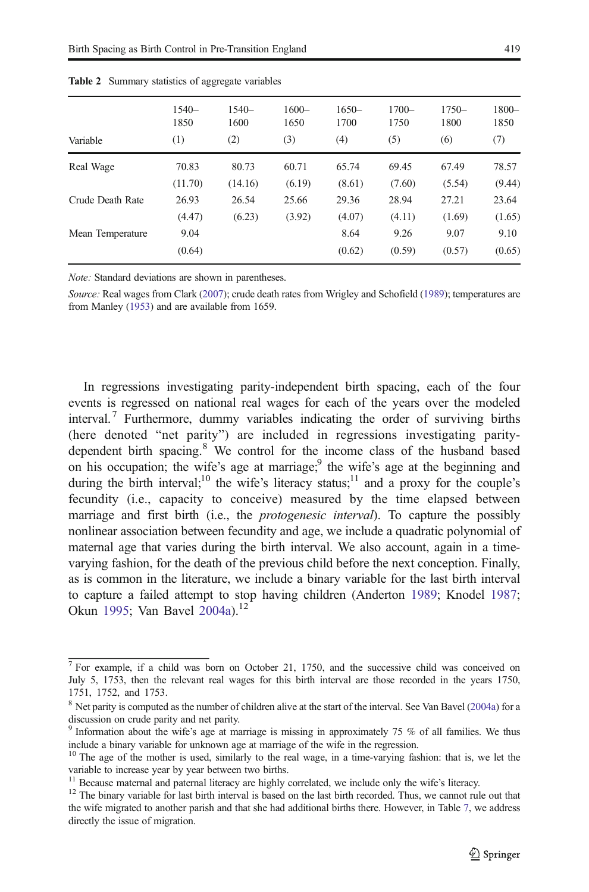| Variable         | $1540-$                  | $1540-$ | $1600 -$ | $1650-$                  | $1700 -$                 | $1750-$                  | $1800 -$                 |
|------------------|--------------------------|---------|----------|--------------------------|--------------------------|--------------------------|--------------------------|
|                  | 1850                     | 1600    | 1650     | 1700                     | 1750                     | 1800                     | 1850                     |
|                  | (1)                      | (2)     | (3)      | (4)                      | (5)                      | (6)                      | (7)                      |
| Real Wage        | 70.83                    | 80.73   | 60.71    | 65.74                    | 69.45                    | 67.49                    | 78.57                    |
|                  | (11.70)                  | (14.16) | (6.19)   | (8.61)                   | (7.60)                   | (5.54)                   | (9.44)                   |
| Crude Death Rate | 26.93                    | 26.54   | 25.66    | 29.36                    | 28.94                    | 27.21                    | 23.64                    |
| Mean Temperature | (4.47)<br>9.04<br>(0.64) | (6.23)  | (3.92)   | (4.07)<br>8.64<br>(0.62) | (4.11)<br>9.26<br>(0.59) | (1.69)<br>9.07<br>(0.57) | (1.65)<br>9.10<br>(0.65) |

<span id="page-6-0"></span>Table 2 Summary statistics of aggregate variables

Note: Standard deviations are shown in parentheses.

Source: Real wages from Clark [\(2007\)](#page-22-0); crude death rates from Wrigley and Schofield [\(1989\)](#page-23-0); temperatures are from Manley ([1953](#page-22-0)) and are available from 1659.

In regressions investigating parity-independent birth spacing, each of the four events is regressed on national real wages for each of the years over the modeled interval.<sup>7</sup> Furthermore, dummy variables indicating the order of surviving births (here denoted "net parity") are included in regressions investigating paritydependent birth spacing.<sup>8</sup> We control for the income class of the husband based on his occupation; the wife's age at marriage; the wife's age at the beginning and during the birth interval;<sup>10</sup> the wife's literacy status;<sup>11</sup> and a proxy for the couple's fecundity (i.e., capacity to conceive) measured by the time elapsed between marriage and first birth (i.e., the *protogenesic interval*). To capture the possibly nonlinear association between fecundity and age, we include a quadratic polynomial of maternal age that varies during the birth interval. We also account, again in a timevarying fashion, for the death of the previous child before the next conception. Finally, as is common in the literature, we include a binary variable for the last birth interval to capture a failed attempt to stop having children (Anderton [1989](#page-21-0); Knodel [1987;](#page-22-0) Okun [1995](#page-22-0); Van Bavel [2004a\)](#page-22-0).<sup>12</sup>

<sup>7</sup> For example, if a child was born on October 21, 1750, and the successive child was conceived on July 5, 1753, then the relevant real wages for this birth interval are those recorded in the years 1750, 1751, 1752, and 1753.

 $8$  Net parity is computed as the number of children alive at the start of the interval. See Van Bavel [\(2004a](#page-22-0)) for a discussion on crude parity and net parity.

 $9$  Information about the wife's age at marriage is missing in approximately 75 % of all families. We thus include a binary variable for unknown age at marriage of the wife in the regression.

<sup>&</sup>lt;sup>10</sup> The age of the mother is used, similarly to the real wage, in a time-varying fashion: that is, we let the variable to increase year by year between two births.<br><sup>11</sup> Because maternal and paternal literacy are highly correlated, we include only the wife's literacy.

 $12$  The binary variable for last birth interval is based on the last birth recorded. Thus, we cannot rule out that the wife migrated to another parish and that she had additional births there. However, in Table [7,](#page-18-0) we address directly the issue of migration.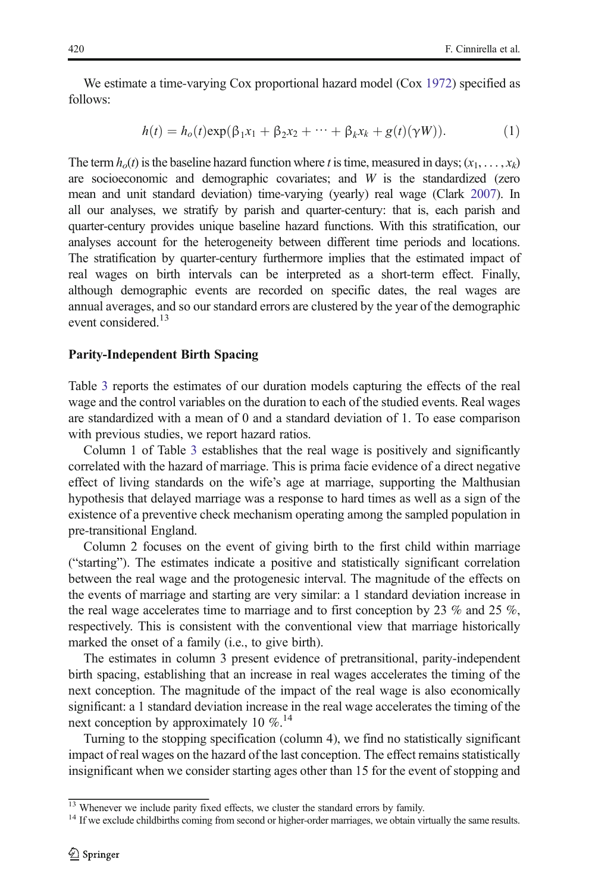We estimate a time-varying Cox proportional hazard model (Cox [1972](#page-22-0)) specified as follows:

$$
h(t) = h_o(t) \exp(\beta_1 x_1 + \beta_2 x_2 + \dots + \beta_k x_k + g(t) (\gamma W)).
$$
 (1)

The term  $h_o(t)$  is the baseline hazard function where t is time, measured in days;  $(x_1, \ldots, x_k)$ are socioeconomic and demographic covariates; and W is the standardized (zero mean and unit standard deviation) time-varying (yearly) real wage (Clark [2007](#page-22-0)). In all our analyses, we stratify by parish and quarter-century: that is, each parish and quarter-century provides unique baseline hazard functions. With this stratification, our analyses account for the heterogeneity between different time periods and locations. The stratification by quarter-century furthermore implies that the estimated impact of real wages on birth intervals can be interpreted as a short-term effect. Finally, although demographic events are recorded on specific dates, the real wages are annual averages, and so our standard errors are clustered by the year of the demographic event considered.<sup>13</sup>

### Parity-Independent Birth Spacing

Table [3](#page-8-0) reports the estimates of our duration models capturing the effects of the real wage and the control variables on the duration to each of the studied events. Real wages are standardized with a mean of 0 and a standard deviation of 1. To ease comparison with previous studies, we report hazard ratios.

Column 1 of Table [3](#page-8-0) establishes that the real wage is positively and significantly correlated with the hazard of marriage. This is prima facie evidence of a direct negative effect of living standards on the wife's age at marriage, supporting the Malthusian hypothesis that delayed marriage was a response to hard times as well as a sign of the existence of a preventive check mechanism operating among the sampled population in pre-transitional England.

Column 2 focuses on the event of giving birth to the first child within marriage ("starting"). The estimates indicate a positive and statistically significant correlation between the real wage and the protogenesic interval. The magnitude of the effects on the events of marriage and starting are very similar: a 1 standard deviation increase in the real wage accelerates time to marriage and to first conception by 23  $\%$  and 25  $\%$ , respectively. This is consistent with the conventional view that marriage historically marked the onset of a family (i.e., to give birth).

The estimates in column 3 present evidence of pretransitional, parity-independent birth spacing, establishing that an increase in real wages accelerates the timing of the next conception. The magnitude of the impact of the real wage is also economically significant: a 1 standard deviation increase in the real wage accelerates the timing of the next conception by approximately 10  $\%$ .<sup>14</sup>

Turning to the stopping specification (column 4), we find no statistically significant impact of real wages on the hazard of the last conception. The effect remains statistically insignificant when we consider starting ages other than 15 for the event of stopping and

<sup>&</sup>lt;sup>13</sup> Whenever we include parity fixed effects, we cluster the standard errors by family.<br><sup>14</sup> If we exclude childbirths coming from second or higher-order marriages, we obtain virtually the same results.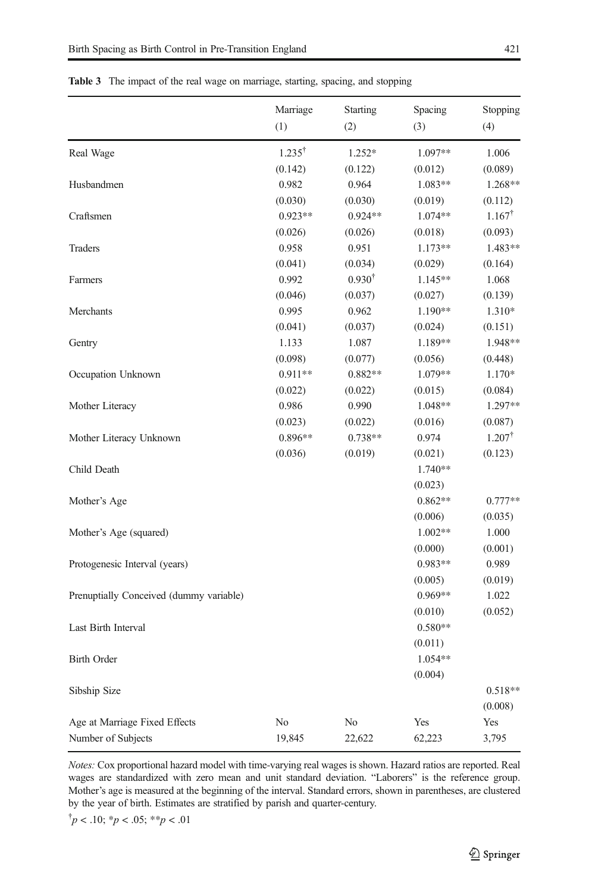|                                         | Marriage          | <b>Starting</b>   | Spacing   | Stopping          |
|-----------------------------------------|-------------------|-------------------|-----------|-------------------|
|                                         | (1)               | (2)               | (3)       | (4)               |
| Real Wage                               | $1.235^{\dagger}$ | 1.252*            | 1.097**   | 1.006             |
|                                         | (0.142)           | (0.122)           | (0.012)   | (0.089)           |
| Husbandmen                              | 0.982             | 0.964             | 1.083**   | 1.268**           |
|                                         | (0.030)           | (0.030)           | (0.019)   | (0.112)           |
| Craftsmen                               | $0.923**$         | $0.924**$         | 1.074**   | $1.167^{\dagger}$ |
|                                         | (0.026)           | (0.026)           | (0.018)   | (0.093)           |
| Traders                                 | 0.958             | 0.951             | 1.173**   | 1.483**           |
|                                         | (0.041)           | (0.034)           | (0.029)   | (0.164)           |
| Farmers                                 | 0.992             | $0.930^{\dagger}$ | 1.145**   | 1.068             |
|                                         | (0.046)           | (0.037)           | (0.027)   | (0.139)           |
| Merchants                               | 0.995             | 0.962             | 1.190**   | 1.310*            |
|                                         | (0.041)           | (0.037)           | (0.024)   | (0.151)           |
| Gentry                                  | 1.133             | 1.087             | 1.189**   | 1.948**           |
|                                         | (0.098)           | (0.077)           | (0.056)   | (0.448)           |
| Occupation Unknown                      | $0.911**$         | $0.882**$         | 1.079**   | 1.170*            |
|                                         | (0.022)           | (0.022)           | (0.015)   | (0.084)           |
| Mother Literacy                         | 0.986             | 0.990             | 1.048**   | 1.297**           |
|                                         | (0.023)           | (0.022)           | (0.016)   | (0.087)           |
| Mother Literacy Unknown                 | 0.896**           | $0.738**$         | 0.974     | $1.207^{\dagger}$ |
|                                         | (0.036)           | (0.019)           | (0.021)   | (0.123)           |
| Child Death                             |                   |                   | 1.740**   |                   |
|                                         |                   |                   | (0.023)   |                   |
| Mother's Age                            |                   |                   | $0.862**$ | $0.777**$         |
|                                         |                   |                   | (0.006)   | (0.035)           |
| Mother's Age (squared)                  |                   |                   | 1.002**   | 1.000             |
|                                         |                   |                   | (0.000)   | (0.001)           |
| Protogenesic Interval (years)           |                   |                   | $0.983**$ | 0.989             |
|                                         |                   |                   | (0.005)   | (0.019)           |
| Prenuptially Conceived (dummy variable) |                   |                   | 0.969**   | 1.022             |
|                                         |                   |                   | (0.010)   | (0.052)           |
| Last Birth Interval                     |                   |                   | $0.580**$ |                   |
|                                         |                   |                   | (0.011)   |                   |
| <b>Birth Order</b>                      |                   |                   | 1.054**   |                   |
|                                         |                   |                   | (0.004)   |                   |
| Sibship Size                            |                   |                   |           | $0.518**$         |
|                                         |                   |                   |           | (0.008)           |
| Age at Marriage Fixed Effects           | No                | No                | Yes       | Yes               |
| Number of Subjects                      | 19,845            | 22,622            | 62,223    | 3,795             |

<span id="page-8-0"></span>

| Table 3 The impact of the real wage on marriage, starting, spacing, and stopping |  |  |
|----------------------------------------------------------------------------------|--|--|
|----------------------------------------------------------------------------------|--|--|

Notes: Cox proportional hazard model with time-varying real wages is shown. Hazard ratios are reported. Real wages are standardized with zero mean and unit standard deviation. "Laborers" is the reference group. Mother's age is measured at the beginning of the interval. Standard errors, shown in parentheses, are clustered by the year of birth. Estimates are stratified by parish and quarter-century.

$$
\phi_p < 0.10; \phi_p < 0.05; \phi_p < 0.01
$$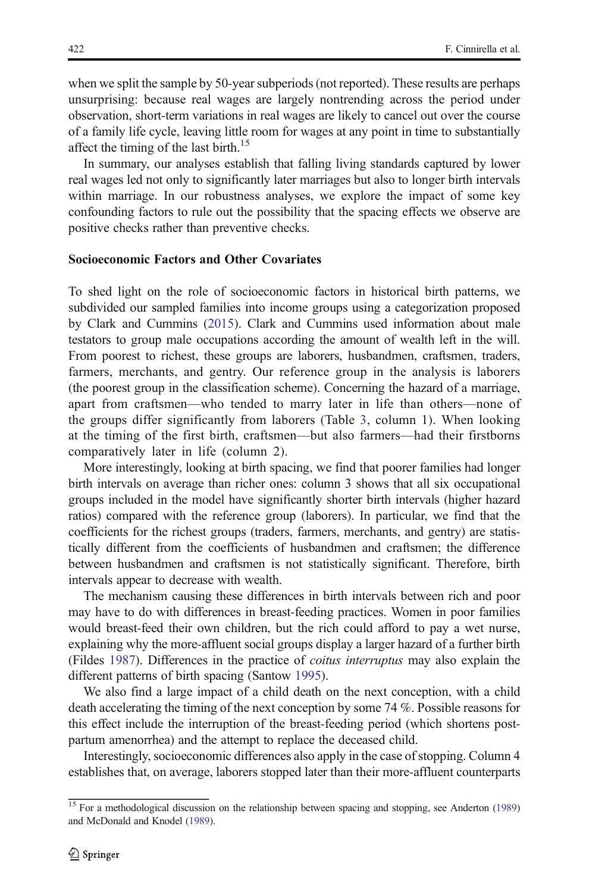when we split the sample by 50-year subperiods (not reported). These results are perhaps unsurprising: because real wages are largely nontrending across the period under observation, short-term variations in real wages are likely to cancel out over the course of a family life cycle, leaving little room for wages at any point in time to substantially affect the timing of the last birth.<sup>15</sup>

In summary, our analyses establish that falling living standards captured by lower real wages led not only to significantly later marriages but also to longer birth intervals within marriage. In our robustness analyses, we explore the impact of some key confounding factors to rule out the possibility that the spacing effects we observe are positive checks rather than preventive checks.

#### Socioeconomic Factors and Other Covariates

To shed light on the role of socioeconomic factors in historical birth patterns, we subdivided our sampled families into income groups using a categorization proposed by Clark and Cummins [\(2015\)](#page-22-0). Clark and Cummins used information about male testators to group male occupations according the amount of wealth left in the will. From poorest to richest, these groups are laborers, husbandmen, craftsmen, traders, farmers, merchants, and gentry. Our reference group in the analysis is laborers (the poorest group in the classification scheme). Concerning the hazard of a marriage, apart from craftsmen—who tended to marry later in life than others—none of the groups differ significantly from laborers (Table [3,](#page-8-0) column 1). When looking at the timing of the first birth, craftsmen—but also farmers—had their firstborns comparatively later in life (column 2).

More interestingly, looking at birth spacing, we find that poorer families had longer birth intervals on average than richer ones: column 3 shows that all six occupational groups included in the model have significantly shorter birth intervals (higher hazard ratios) compared with the reference group (laborers). In particular, we find that the coefficients for the richest groups (traders, farmers, merchants, and gentry) are statistically different from the coefficients of husbandmen and craftsmen; the difference between husbandmen and craftsmen is not statistically significant. Therefore, birth intervals appear to decrease with wealth.

The mechanism causing these differences in birth intervals between rich and poor may have to do with differences in breast-feeding practices. Women in poor families would breast-feed their own children, but the rich could afford to pay a wet nurse, explaining why the more-affluent social groups display a larger hazard of a further birth (Fildes [1987\)](#page-22-0). Differences in the practice of coitus interruptus may also explain the different patterns of birth spacing (Santow [1995\)](#page-22-0).

We also find a large impact of a child death on the next conception, with a child death accelerating the timing of the next conception by some 74 %. Possible reasons for this effect include the interruption of the breast-feeding period (which shortens postpartum amenorrhea) and the attempt to replace the deceased child.

Interestingly, socioeconomic differences also apply in the case of stopping. Column 4 establishes that, on average, laborers stopped later than their more-affluent counterparts

<sup>&</sup>lt;sup>15</sup> For a methodological discussion on the relationship between spacing and stopping, see Anderton [\(1989\)](#page-21-0) and McDonald and Knodel [\(1989](#page-22-0)).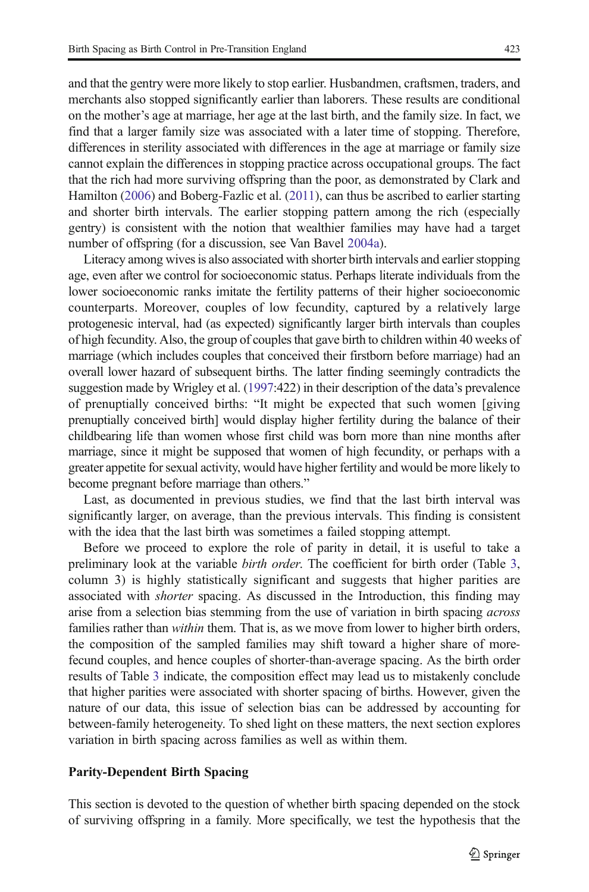and that the gentry were more likely to stop earlier. Husbandmen, craftsmen, traders, and merchants also stopped significantly earlier than laborers. These results are conditional on the mother's age at marriage, her age at the last birth, and the family size. In fact, we find that a larger family size was associated with a later time of stopping. Therefore, differences in sterility associated with differences in the age at marriage or family size cannot explain the differences in stopping practice across occupational groups. The fact that the rich had more surviving offspring than the poor, as demonstrated by Clark and Hamilton [\(2006\)](#page-22-0) and Boberg-Fazlic et al. ([2011](#page-22-0)), can thus be ascribed to earlier starting and shorter birth intervals. The earlier stopping pattern among the rich (especially gentry) is consistent with the notion that wealthier families may have had a target number of offspring (for a discussion, see Van Bavel [2004a](#page-22-0)).

Literacy among wives is also associated with shorter birth intervals and earlier stopping age, even after we control for socioeconomic status. Perhaps literate individuals from the lower socioeconomic ranks imitate the fertility patterns of their higher socioeconomic counterparts. Moreover, couples of low fecundity, captured by a relatively large protogenesic interval, had (as expected) significantly larger birth intervals than couples of high fecundity. Also, the group of couples that gave birth to children within 40 weeks of marriage (which includes couples that conceived their firstborn before marriage) had an overall lower hazard of subsequent births. The latter finding seemingly contradicts the suggestion made by Wrigley et al. [\(1997](#page-23-0):422) in their description of the data's prevalence of prenuptially conceived births: "It might be expected that such women [giving prenuptially conceived birth] would display higher fertility during the balance of their childbearing life than women whose first child was born more than nine months after marriage, since it might be supposed that women of high fecundity, or perhaps with a greater appetite for sexual activity, would have higher fertility and would be more likely to become pregnant before marriage than others."

Last, as documented in previous studies, we find that the last birth interval was significantly larger, on average, than the previous intervals. This finding is consistent with the idea that the last birth was sometimes a failed stopping attempt.

Before we proceed to explore the role of parity in detail, it is useful to take a preliminary look at the variable *birth order*. The coefficient for birth order (Table [3,](#page-8-0) column 3) is highly statistically significant and suggests that higher parities are associated with shorter spacing. As discussed in the Introduction, this finding may arise from a selection bias stemming from the use of variation in birth spacing *across* families rather than *within* them. That is, as we move from lower to higher birth orders, the composition of the sampled families may shift toward a higher share of morefecund couples, and hence couples of shorter-than-average spacing. As the birth order results of Table [3](#page-8-0) indicate, the composition effect may lead us to mistakenly conclude that higher parities were associated with shorter spacing of births. However, given the nature of our data, this issue of selection bias can be addressed by accounting for between-family heterogeneity. To shed light on these matters, the next section explores variation in birth spacing across families as well as within them.

#### Parity-Dependent Birth Spacing

This section is devoted to the question of whether birth spacing depended on the stock of surviving offspring in a family. More specifically, we test the hypothesis that the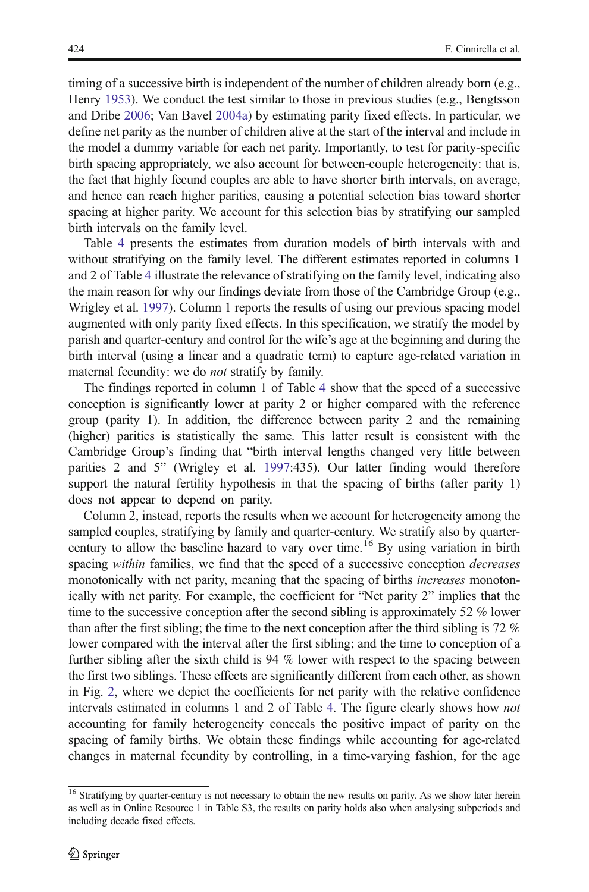timing of a successive birth is independent of the number of children already born (e.g., Henry [1953\)](#page-22-0). We conduct the test similar to those in previous studies (e.g., Bengtsson and Dribe [2006](#page-21-0); Van Bavel [2004a\)](#page-22-0) by estimating parity fixed effects. In particular, we define net parity as the number of children alive at the start of the interval and include in the model a dummy variable for each net parity. Importantly, to test for parity-specific birth spacing appropriately, we also account for between-couple heterogeneity: that is, the fact that highly fecund couples are able to have shorter birth intervals, on average, and hence can reach higher parities, causing a potential selection bias toward shorter spacing at higher parity. We account for this selection bias by stratifying our sampled birth intervals on the family level.

Table [4](#page-12-0) presents the estimates from duration models of birth intervals with and without stratifying on the family level. The different estimates reported in columns 1 and 2 of Table [4](#page-12-0) illustrate the relevance of stratifying on the family level, indicating also the main reason for why our findings deviate from those of the Cambridge Group (e.g., Wrigley et al. [1997\)](#page-23-0). Column 1 reports the results of using our previous spacing model augmented with only parity fixed effects. In this specification, we stratify the model by parish and quarter-century and control for the wife's age at the beginning and during the birth interval (using a linear and a quadratic term) to capture age-related variation in maternal fecundity: we do not stratify by family.

The findings reported in column 1 of Table [4](#page-12-0) show that the speed of a successive conception is significantly lower at parity 2 or higher compared with the reference group (parity 1). In addition, the difference between parity 2 and the remaining (higher) parities is statistically the same. This latter result is consistent with the Cambridge Group's finding that "birth interval lengths changed very little between parities 2 and 5" (Wrigley et al. [1997](#page-23-0):435). Our latter finding would therefore support the natural fertility hypothesis in that the spacing of births (after parity 1) does not appear to depend on parity.

Column 2, instead, reports the results when we account for heterogeneity among the sampled couples, stratifying by family and quarter-century. We stratify also by quartercentury to allow the baseline hazard to vary over time.<sup>16</sup> By using variation in birth spacing within families, we find that the speed of a successive conception *decreases* monotonically with net parity, meaning that the spacing of births *increases* monotonically with net parity. For example, the coefficient for "Net parity 2" implies that the time to the successive conception after the second sibling is approximately 52 % lower than after the first sibling; the time to the next conception after the third sibling is 72 % lower compared with the interval after the first sibling; and the time to conception of a further sibling after the sixth child is 94 % lower with respect to the spacing between the first two siblings. These effects are significantly different from each other, as shown in Fig. [2](#page-13-0), where we depict the coefficients for net parity with the relative confidence intervals estimated in columns 1 and 2 of Table [4.](#page-12-0) The figure clearly shows how not accounting for family heterogeneity conceals the positive impact of parity on the spacing of family births. We obtain these findings while accounting for age-related changes in maternal fecundity by controlling, in a time-varying fashion, for the age

<sup>&</sup>lt;sup>16</sup> Stratifying by quarter-century is not necessary to obtain the new results on parity. As we show later herein as well as in Online Resource 1 in Table S3, the results on parity holds also when analysing subperiods and including decade fixed effects.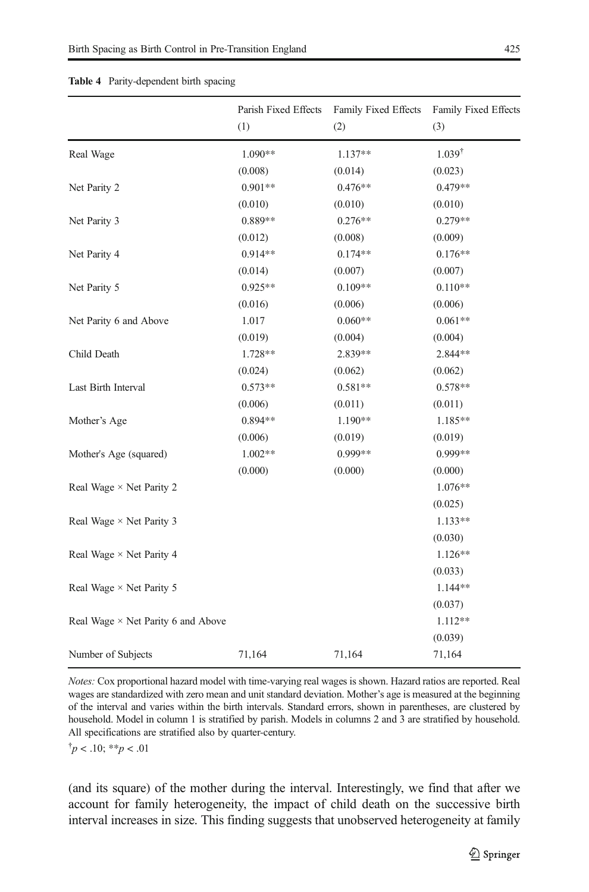|                                    | Parish Fixed Effects | Family Fixed Effects | Family Fixed Effects |
|------------------------------------|----------------------|----------------------|----------------------|
|                                    | (1)                  | (2)                  | (3)                  |
| Real Wage                          | 1.090**              | $1.137**$            | $1.039^{\dagger}$    |
|                                    | (0.008)              | (0.014)              | (0.023)              |
| Net Parity 2                       | $0.901**$            | $0.476**$            | $0.479**$            |
|                                    | (0.010)              | (0.010)              | (0.010)              |
| Net Parity 3                       | 0.889**              | $0.276**$            | $0.279**$            |
|                                    | (0.012)              | (0.008)              | (0.009)              |
| Net Parity 4                       | $0.914**$            | $0.174**$            | $0.176**$            |
|                                    | (0.014)              | (0.007)              | (0.007)              |
| Net Parity 5                       | $0.925**$            | $0.109**$            | $0.110**$            |
|                                    | (0.016)              | (0.006)              | (0.006)              |
| Net Parity 6 and Above             | 1.017                | $0.060**$            | $0.061**$            |
|                                    | (0.019)              | (0.004)              | (0.004)              |
| Child Death                        | 1.728**              | 2.839**              | 2.844**              |
|                                    | (0.024)              | (0.062)              | (0.062)              |
| Last Birth Interval                | $0.573**$            | $0.581**$            | $0.578**$            |
|                                    | (0.006)              | (0.011)              | (0.011)              |
| Mother's Age                       | $0.894**$            | 1.190**              | 1.185**              |
|                                    | (0.006)              | (0.019)              | (0.019)              |
| Mother's Age (squared)             | $1.002**$            | 0.999**              | 0.999**              |
|                                    | (0.000)              | (0.000)              | (0.000)              |
| Real Wage $\times$ Net Parity 2    |                      |                      | 1.076**              |
|                                    |                      |                      | (0.025)              |
| Real Wage × Net Parity 3           |                      |                      | $1.133**$            |
|                                    |                      |                      | (0.030)              |
| Real Wage × Net Parity 4           |                      |                      | $1.126**$            |
|                                    |                      |                      | (0.033)              |
| Real Wage × Net Parity 5           |                      |                      | $1.144**$            |
|                                    |                      |                      | (0.037)              |
| Real Wage × Net Parity 6 and Above |                      |                      | $1.112**$            |
|                                    |                      |                      | (0.039)              |
| Number of Subjects                 | 71,164               | 71,164               | 71,164               |

<span id="page-12-0"></span>Table 4 Parity-dependent birth spacing

Notes: Cox proportional hazard model with time-varying real wages is shown. Hazard ratios are reported. Real wages are standardized with zero mean and unit standard deviation. Mother's age is measured at the beginning of the interval and varies within the birth intervals. Standard errors, shown in parentheses, are clustered by household. Model in column 1 is stratified by parish. Models in columns 2 and 3 are stratified by household. All specifications are stratified also by quarter-century.

 $\phi$  < .10; \*\*p < .01

(and its square) of the mother during the interval. Interestingly, we find that after we account for family heterogeneity, the impact of child death on the successive birth interval increases in size. This finding suggests that unobserved heterogeneity at family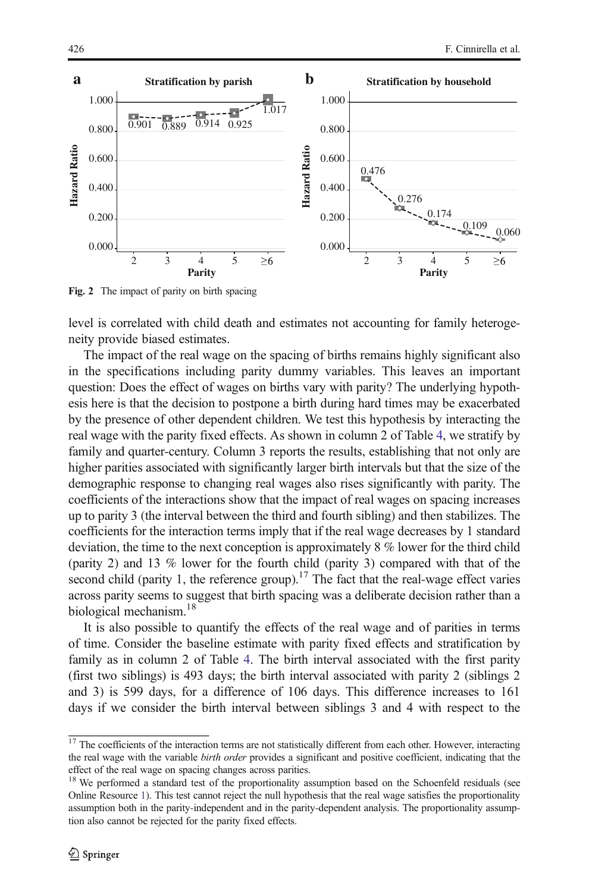<span id="page-13-0"></span>

Fig. 2 The impact of parity on birth spacing

level is correlated with child death and estimates not accounting for family heterogeneity provide biased estimates.

The impact of the real wage on the spacing of births remains highly significant also in the specifications including parity dummy variables. This leaves an important question: Does the effect of wages on births vary with parity? The underlying hypothesis here is that the decision to postpone a birth during hard times may be exacerbated by the presence of other dependent children. We test this hypothesis by interacting the real wage with the parity fixed effects. As shown in column 2 of Table [4,](#page-12-0) we stratify by family and quarter-century. Column 3 reports the results, establishing that not only are higher parities associated with significantly larger birth intervals but that the size of the demographic response to changing real wages also rises significantly with parity. The coefficients of the interactions show that the impact of real wages on spacing increases up to parity 3 (the interval between the third and fourth sibling) and then stabilizes. The coefficients for the interaction terms imply that if the real wage decreases by 1 standard deviation, the time to the next conception is approximately 8 % lower for the third child (parity 2) and 13 % lower for the fourth child (parity 3) compared with that of the second child (parity 1, the reference group).<sup>17</sup> The fact that the real-wage effect varies across parity seems to suggest that birth spacing was a deliberate decision rather than a biological mechanism.<sup>18</sup>

It is also possible to quantify the effects of the real wage and of parities in terms of time. Consider the baseline estimate with parity fixed effects and stratification by family as in column 2 of Table [4.](#page-12-0) The birth interval associated with the first parity (first two siblings) is 493 days; the birth interval associated with parity 2 (siblings 2 and 3) is 599 days, for a difference of 106 days. This difference increases to 161 days if we consider the birth interval between siblings 3 and 4 with respect to the

<sup>&</sup>lt;sup>17</sup> The coefficients of the interaction terms are not statistically different from each other. However, interacting the real wage with the variable birth order provides a significant and positive coefficient, indicating that the effect of the real wage on spacing changes across parities.

<sup>&</sup>lt;sup>18</sup> We performed a standard test of the proportionality assumption based on the Schoenfeld residuals (see Online Resource 1). This test cannot reject the null hypothesis that the real wage satisfies the proportionality assumption both in the parity-independent and in the parity-dependent analysis. The proportionality assumption also cannot be rejected for the parity fixed effects.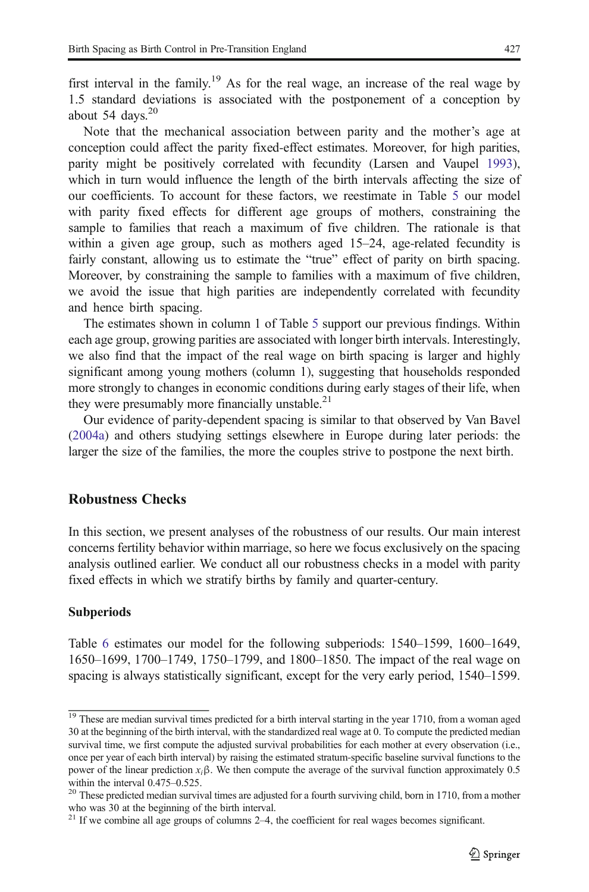first interval in the family.<sup>19</sup> As for the real wage, an increase of the real wage by 1.5 standard deviations is associated with the postponement of a conception by about 54 days. $20$ 

Note that the mechanical association between parity and the mother's age at conception could affect the parity fixed-effect estimates. Moreover, for high parities, parity might be positively correlated with fecundity (Larsen and Vaupel [1993\)](#page-22-0), which in turn would influence the length of the birth intervals affecting the size of our coefficients. To account for these factors, we reestimate in Table [5](#page-15-0) our model with parity fixed effects for different age groups of mothers, constraining the sample to families that reach a maximum of five children. The rationale is that within a given age group, such as mothers aged 15–24, age-related fecundity is fairly constant, allowing us to estimate the "true" effect of parity on birth spacing. Moreover, by constraining the sample to families with a maximum of five children, we avoid the issue that high parities are independently correlated with fecundity and hence birth spacing.

The estimates shown in column 1 of Table [5](#page-15-0) support our previous findings. Within each age group, growing parities are associated with longer birth intervals. Interestingly, we also find that the impact of the real wage on birth spacing is larger and highly significant among young mothers (column 1), suggesting that households responded more strongly to changes in economic conditions during early stages of their life, when they were presumably more financially unstable. $2<sup>1</sup>$ 

Our evidence of parity-dependent spacing is similar to that observed by Van Bavel [\(2004a\)](#page-22-0) and others studying settings elsewhere in Europe during later periods: the larger the size of the families, the more the couples strive to postpone the next birth.

### Robustness Checks

In this section, we present analyses of the robustness of our results. Our main interest concerns fertility behavior within marriage, so here we focus exclusively on the spacing analysis outlined earlier. We conduct all our robustness checks in a model with parity fixed effects in which we stratify births by family and quarter-century.

#### Subperiods

Table [6](#page-16-0) estimates our model for the following subperiods: 1540–1599, 1600–1649, 1650–1699, 1700–1749, 1750–1799, and 1800–1850. The impact of the real wage on spacing is always statistically significant, except for the very early period, 1540–1599.

<sup>&</sup>lt;sup>19</sup> These are median survival times predicted for a birth interval starting in the year 1710, from a woman aged 30 at the beginning of the birth interval, with the standardized real wage at 0. To compute the predicted median survival time, we first compute the adjusted survival probabilities for each mother at every observation (i.e., once per year of each birth interval) by raising the estimated stratum-specific baseline survival functions to the power of the linear prediction  $x_i\beta$ . We then compute the average of the survival function approximately 0.5 within the interval 0.475–0.525.<br><sup>20</sup> These predicted median survival times are adjusted for a fourth surviving child, born in 1710, from a mother

who was 30 at the beginning of the birth interval.

 $2<sup>1</sup>$  If we combine all age groups of columns 2–4, the coefficient for real wages becomes significant.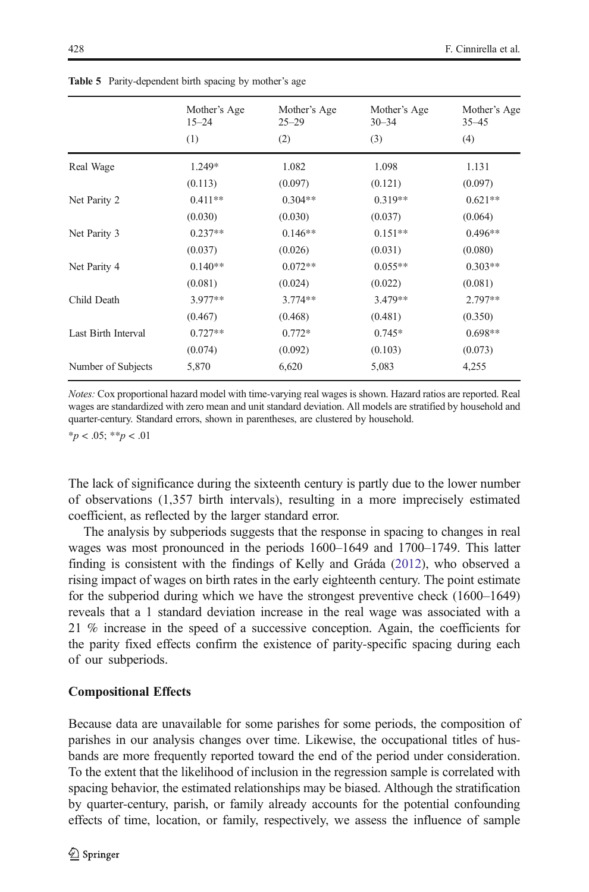|                     | Mother's Age<br>$15 - 24$ | Mother's Age<br>$25 - 29$ | Mother's Age<br>$30 - 34$ | Mother's Age<br>$35 - 45$ |
|---------------------|---------------------------|---------------------------|---------------------------|---------------------------|
|                     | (1)                       | (2)                       | (3)                       | (4)                       |
| Real Wage           | 1.249*                    | 1.082                     | 1.098                     | 1.131                     |
|                     | (0.113)                   | (0.097)                   | (0.121)                   | (0.097)                   |
| Net Parity 2        | $0.411**$                 | $0.304**$                 | $0.319**$                 | $0.621**$                 |
|                     | (0.030)                   | (0.030)                   | (0.037)                   | (0.064)                   |
| Net Parity 3        | $0.237**$                 | $0.146**$                 | $0.151**$                 | $0.496**$                 |
|                     | (0.037)                   | (0.026)                   | (0.031)                   | (0.080)                   |
| Net Parity 4        | $0.140**$                 | $0.072**$                 | $0.055**$                 | $0.303**$                 |
|                     | (0.081)                   | (0.024)                   | (0.022)                   | (0.081)                   |
| Child Death         | $3.977**$                 | $3.774**$                 | $3.479**$                 | $2.797**$                 |
|                     | (0.467)                   | (0.468)                   | (0.481)                   | (0.350)                   |
| Last Birth Interval | $0.727**$                 | $0.772*$                  | $0.745*$                  | $0.698**$                 |
|                     | (0.074)                   | (0.092)                   | (0.103)                   | (0.073)                   |
| Number of Subjects  | 5,870                     | 6,620                     | 5,083                     | 4,255                     |

<span id="page-15-0"></span>Table 5 Parity-dependent birth spacing by mother's age

Notes: Cox proportional hazard model with time-varying real wages is shown. Hazard ratios are reported. Real wages are standardized with zero mean and unit standard deviation. All models are stratified by household and quarter-century. Standard errors, shown in parentheses, are clustered by household.

 $**p* < .05; ***p* < .01$ 

The lack of significance during the sixteenth century is partly due to the lower number of observations (1,357 birth intervals), resulting in a more imprecisely estimated coefficient, as reflected by the larger standard error.

The analysis by subperiods suggests that the response in spacing to changes in real wages was most pronounced in the periods 1600–1649 and 1700–1749. This latter finding is consistent with the findings of Kelly and Gráda [\(2012\)](#page-22-0), who observed a rising impact of wages on birth rates in the early eighteenth century. The point estimate for the subperiod during which we have the strongest preventive check (1600–1649) reveals that a 1 standard deviation increase in the real wage was associated with a 21 % increase in the speed of a successive conception. Again, the coefficients for the parity fixed effects confirm the existence of parity-specific spacing during each of our subperiods.

### Compositional Effects

Because data are unavailable for some parishes for some periods, the composition of parishes in our analysis changes over time. Likewise, the occupational titles of husbands are more frequently reported toward the end of the period under consideration. To the extent that the likelihood of inclusion in the regression sample is correlated with spacing behavior, the estimated relationships may be biased. Although the stratification by quarter-century, parish, or family already accounts for the potential confounding effects of time, location, or family, respectively, we assess the influence of sample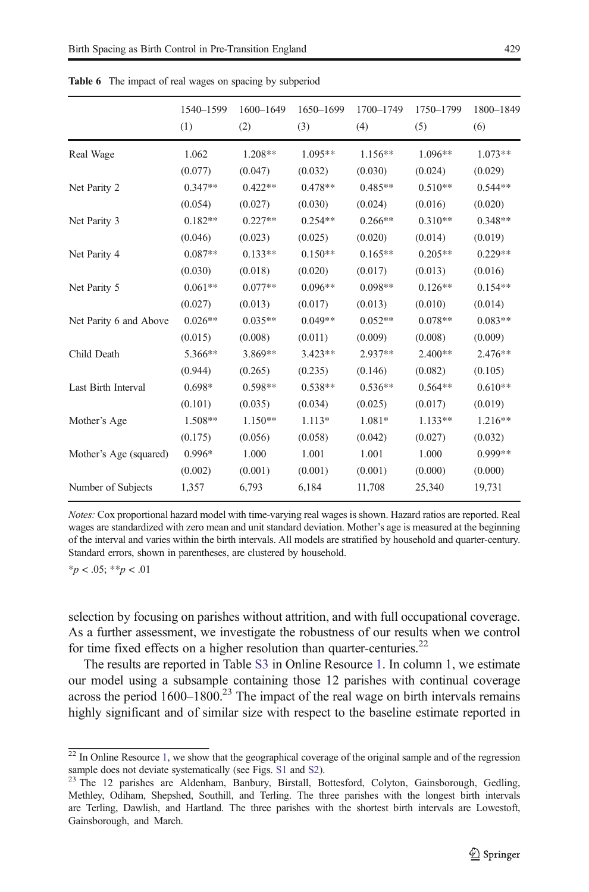|                        | 1540-1599<br>(1) | $1600 - 1649$<br>(2) | 1650-1699<br>(3) | 1700-1749<br>(4) | 1750-1799<br>(5) | 1800-1849<br>(6) |
|------------------------|------------------|----------------------|------------------|------------------|------------------|------------------|
| Real Wage              | 1.062            | $1.208**$            | $1.095**$        | $1.156**$        | $1.096**$        | $1.073**$        |
|                        | (0.077)          | (0.047)              | (0.032)          | (0.030)          | (0.024)          | (0.029)          |
| Net Parity 2           | $0.347**$        | $0.422**$            | $0.478**$        | $0.485**$        | $0.510**$        | $0.544**$        |
|                        | (0.054)          | (0.027)              | (0.030)          | (0.024)          | (0.016)          | (0.020)          |
| Net Parity 3           | $0.182**$        | $0.227**$            | $0.254**$        | $0.266**$        | $0.310**$        | $0.348**$        |
|                        | (0.046)          | (0.023)              | (0.025)          | (0.020)          | (0.014)          | (0.019)          |
| Net Parity 4           | $0.087**$        | $0.133**$            | $0.150**$        | $0.165**$        | $0.205**$        | $0.229**$        |
|                        | (0.030)          | (0.018)              | (0.020)          | (0.017)          | (0.013)          | (0.016)          |
| Net Parity 5           | $0.061**$        | $0.077**$            | $0.096**$        | $0.098**$        | $0.126**$        | $0.154**$        |
|                        | (0.027)          | (0.013)              | (0.017)          | (0.013)          | (0.010)          | (0.014)          |
| Net Parity 6 and Above | $0.026**$        | $0.035**$            | $0.049**$        | $0.052**$        | $0.078**$        | $0.083**$        |
|                        | (0.015)          | (0.008)              | (0.011)          | (0.009)          | (0.008)          | (0.009)          |
| Child Death            | 5.366**          | $3.869**$            | $3.423**$        | 2.937**          | $2.400**$        | $2.476**$        |
|                        | (0.944)          | (0.265)              | (0.235)          | (0.146)          | (0.082)          | (0.105)          |
| Last Birth Interval    | 0.698*           | $0.598**$            | $0.538**$        | $0.536**$        | $0.564**$        | $0.610**$        |
|                        | (0.101)          | (0.035)              | (0.034)          | (0.025)          | (0.017)          | (0.019)          |
| Mother's Age           | 1.508**          | $1.150**$            | $1.113*$         | 1.081*           | $1.133**$        | $1.216**$        |
|                        | (0.175)          | (0.056)              | (0.058)          | (0.042)          | (0.027)          | (0.032)          |
| Mother's Age (squared) | 0.996*           | 1.000                | 1.001            | 1.001            | 1.000            | 0.999**          |
|                        | (0.002)          | (0.001)              | (0.001)          | (0.001)          | (0.000)          | (0.000)          |
| Number of Subjects     | 1,357            | 6,793                | 6,184            | 11,708           | 25,340           | 19,731           |

<span id="page-16-0"></span>Table 6 The impact of real wages on spacing by subperiod

Notes: Cox proportional hazard model with time-varying real wages is shown. Hazard ratios are reported. Real wages are standardized with zero mean and unit standard deviation. Mother's age is measured at the beginning of the interval and varies within the birth intervals. All models are stratified by household and quarter-century. Standard errors, shown in parentheses, are clustered by household.

 $*_{p}$  < .05;  $*_{p}$  < .01

selection by focusing on parishes without attrition, and with full occupational coverage. As a further assessment, we investigate the robustness of our results when we control for time fixed effects on a higher resolution than quarter-centuries.<sup>22</sup>

The results are reported in Table S3 in Online Resource 1. In column 1, we estimate our model using a subsample containing those 12 parishes with continual coverage across the period  $1600-1800$ <sup>23</sup>. The impact of the real wage on birth intervals remains highly significant and of similar size with respect to the baseline estimate reported in

<sup>&</sup>lt;sup>22</sup> In Online Resource 1, we show that the geographical coverage of the original sample and of the regression

sample does not deviate systematically (see Figs. S1 and S2).<br><sup>23</sup> The 12 parishes are Aldenham, Banbury, Birstall, Bottesford, Colyton, Gainsborough, Gedling, Methley, Odiham, Shepshed, Southill, and Terling. The three parishes with the longest birth intervals are Terling, Dawlish, and Hartland. The three parishes with the shortest birth intervals are Lowestoft, Gainsborough, and March.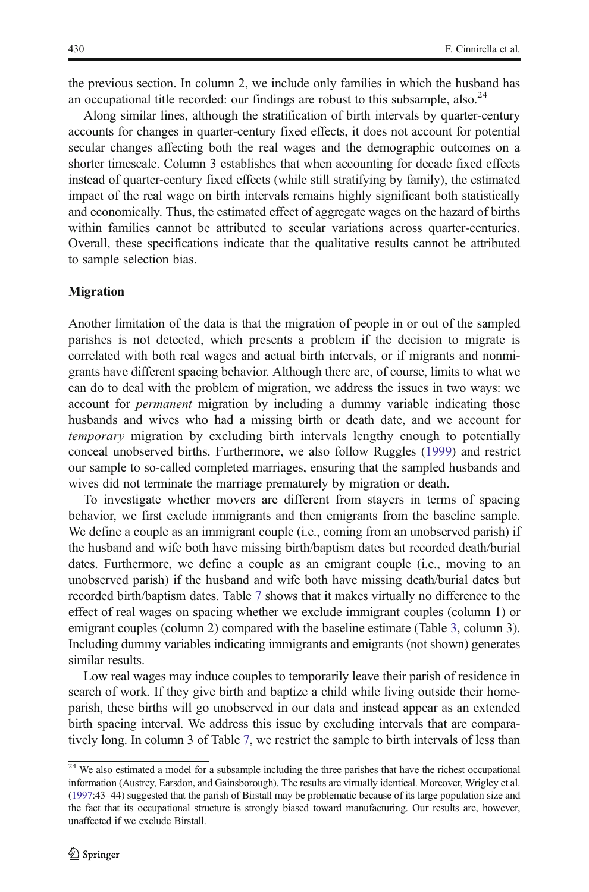the previous section. In column 2, we include only families in which the husband has an occupational title recorded: our findings are robust to this subsample, also.<sup>24</sup>

Along similar lines, although the stratification of birth intervals by quarter-century accounts for changes in quarter-century fixed effects, it does not account for potential secular changes affecting both the real wages and the demographic outcomes on a shorter timescale. Column 3 establishes that when accounting for decade fixed effects instead of quarter-century fixed effects (while still stratifying by family), the estimated impact of the real wage on birth intervals remains highly significant both statistically and economically. Thus, the estimated effect of aggregate wages on the hazard of births within families cannot be attributed to secular variations across quarter-centuries. Overall, these specifications indicate that the qualitative results cannot be attributed to sample selection bias.

#### Migration

Another limitation of the data is that the migration of people in or out of the sampled parishes is not detected, which presents a problem if the decision to migrate is correlated with both real wages and actual birth intervals, or if migrants and nonmigrants have different spacing behavior. Although there are, of course, limits to what we can do to deal with the problem of migration, we address the issues in two ways: we account for *permanent* migration by including a dummy variable indicating those husbands and wives who had a missing birth or death date, and we account for temporary migration by excluding birth intervals lengthy enough to potentially conceal unobserved births. Furthermore, we also follow Ruggles ([1999](#page-22-0)) and restrict our sample to so-called completed marriages, ensuring that the sampled husbands and wives did not terminate the marriage prematurely by migration or death.

To investigate whether movers are different from stayers in terms of spacing behavior, we first exclude immigrants and then emigrants from the baseline sample. We define a couple as an immigrant couple (i.e., coming from an unobserved parish) if the husband and wife both have missing birth/baptism dates but recorded death/burial dates. Furthermore, we define a couple as an emigrant couple (i.e., moving to an unobserved parish) if the husband and wife both have missing death/burial dates but recorded birth/baptism dates. Table [7](#page-18-0) shows that it makes virtually no difference to the effect of real wages on spacing whether we exclude immigrant couples (column 1) or emigrant couples (column 2) compared with the baseline estimate (Table [3](#page-8-0), column 3). Including dummy variables indicating immigrants and emigrants (not shown) generates similar results.

Low real wages may induce couples to temporarily leave their parish of residence in search of work. If they give birth and baptize a child while living outside their homeparish, these births will go unobserved in our data and instead appear as an extended birth spacing interval. We address this issue by excluding intervals that are comparatively long. In column 3 of Table [7](#page-18-0), we restrict the sample to birth intervals of less than

 $24$  We also estimated a model for a subsample including the three parishes that have the richest occupational information (Austrey, Earsdon, and Gainsborough). The results are virtually identical. Moreover, Wrigley et al. ([1997:](#page-23-0)43–44) suggested that the parish of Birstall may be problematic because of its large population size and the fact that its occupational structure is strongly biased toward manufacturing. Our results are, however, unaffected if we exclude Birstall.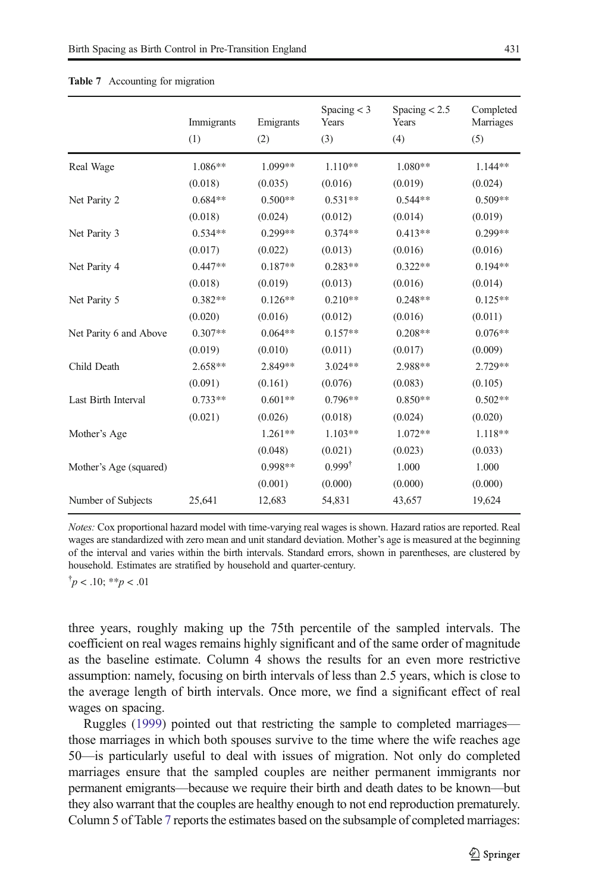|                        | Immigrants<br>(1) | Emigrants<br>(2) | Spacing $<$ 3<br>Years<br>(3) | Spacing $< 2.5$<br>Years<br>(4) | Completed<br>Marriages<br>(5) |
|------------------------|-------------------|------------------|-------------------------------|---------------------------------|-------------------------------|
| Real Wage              | 1.086**           | 1.099**          | $1.110**$                     | $1.080**$                       | 1.144**                       |
|                        | (0.018)           | (0.035)          | (0.016)                       | (0.019)                         | (0.024)                       |
| Net Parity 2           | $0.684**$         | $0.500**$        | $0.531**$                     | $0.544**$                       | $0.509**$                     |
|                        | (0.018)           | (0.024)          | (0.012)                       | (0.014)                         | (0.019)                       |
| Net Parity 3           | $0.534**$         | $0.299**$        | $0.374**$                     | $0.413**$                       | $0.299**$                     |
|                        | (0.017)           | (0.022)          | (0.013)                       | (0.016)                         | (0.016)                       |
| Net Parity 4           | $0.447**$         | $0.187**$        | $0.283**$                     | $0.322**$                       | $0.194**$                     |
|                        | (0.018)           | (0.019)          | (0.013)                       | (0.016)                         | (0.014)                       |
| Net Parity 5           | $0.382**$         | $0.126**$        | $0.210**$                     | $0.248**$                       | $0.125**$                     |
|                        | (0.020)           | (0.016)          | (0.012)                       | (0.016)                         | (0.011)                       |
| Net Parity 6 and Above | $0.307**$         | $0.064**$        | $0.157**$                     | $0.208**$                       | $0.076**$                     |
|                        | (0.019)           | (0.010)          | (0.011)                       | (0.017)                         | (0.009)                       |
| Child Death            | $2.658**$         | 2.849**          | $3.024**$                     | 2.988**                         | $2.729**$                     |
|                        | (0.091)           | (0.161)          | (0.076)                       | (0.083)                         | (0.105)                       |
| Last Birth Interval    | $0.733**$         | $0.601**$        | $0.796**$                     | $0.850**$                       | $0.502**$                     |
|                        | (0.021)           | (0.026)          | (0.018)                       | (0.024)                         | (0.020)                       |
| Mother's Age           |                   | $1.261**$        | $1.103**$                     | $1.072**$                       | 1.118**                       |
|                        |                   | (0.048)          | (0.021)                       | (0.023)                         | (0.033)                       |
| Mother's Age (squared) |                   | 0.998**          | $0.999^{\dagger}$             | 1.000                           | 1.000                         |
|                        |                   | (0.001)          | (0.000)                       | (0.000)                         | (0.000)                       |
| Number of Subjects     | 25,641            | 12,683           | 54,831                        | 43,657                          | 19,624                        |

<span id="page-18-0"></span>Table 7 Accounting for migration

Notes: Cox proportional hazard model with time-varying real wages is shown. Hazard ratios are reported. Real wages are standardized with zero mean and unit standard deviation. Mother's age is measured at the beginning of the interval and varies within the birth intervals. Standard errors, shown in parentheses, are clustered by household. Estimates are stratified by household and quarter-century.

 $\phi$  < .10; \*\*p < .01

three years, roughly making up the 75th percentile of the sampled intervals. The coefficient on real wages remains highly significant and of the same order of magnitude as the baseline estimate. Column 4 shows the results for an even more restrictive assumption: namely, focusing on birth intervals of less than 2.5 years, which is close to the average length of birth intervals. Once more, we find a significant effect of real wages on spacing.

Ruggles [\(1999\)](#page-22-0) pointed out that restricting the sample to completed marriages those marriages in which both spouses survive to the time where the wife reaches age 50—is particularly useful to deal with issues of migration. Not only do completed marriages ensure that the sampled couples are neither permanent immigrants nor permanent emigrants—because we require their birth and death dates to be known—but they also warrant that the couples are healthy enough to not end reproduction prematurely. Column 5 of Table 7 reports the estimates based on the subsample of completed marriages: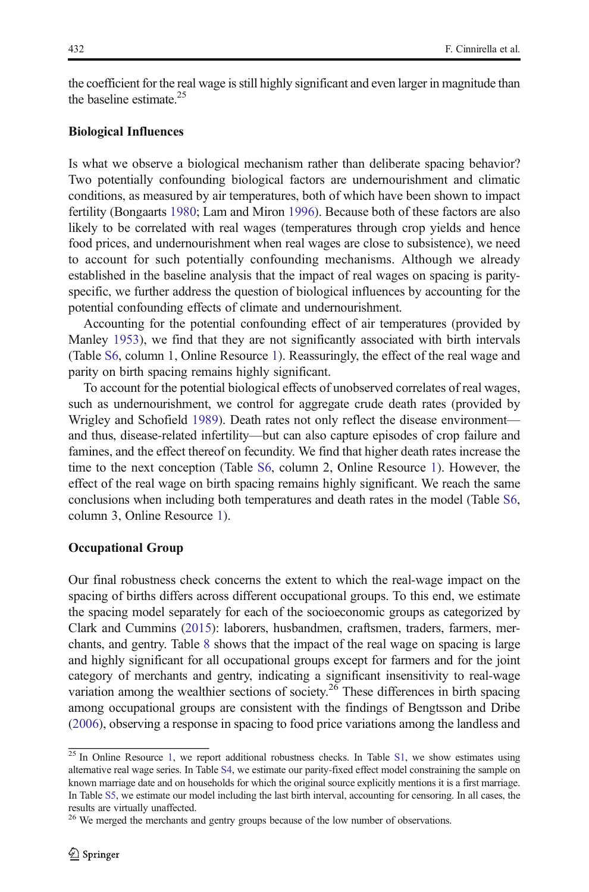the coefficient for the real wage is still highly significant and even larger in magnitude than the baseline estimate. $25$ 

#### Biological Influences

Is what we observe a biological mechanism rather than deliberate spacing behavior? Two potentially confounding biological factors are undernourishment and climatic conditions, as measured by air temperatures, both of which have been shown to impact fertility (Bongaarts [1980](#page-22-0); Lam and Miron [1996\)](#page-22-0). Because both of these factors are also likely to be correlated with real wages (temperatures through crop yields and hence food prices, and undernourishment when real wages are close to subsistence), we need to account for such potentially confounding mechanisms. Although we already established in the baseline analysis that the impact of real wages on spacing is parityspecific, we further address the question of biological influences by accounting for the potential confounding effects of climate and undernourishment.

Accounting for the potential confounding effect of air temperatures (provided by Manley [1953\)](#page-22-0), we find that they are not significantly associated with birth intervals (Table S6, column 1, Online Resource 1). Reassuringly, the effect of the real wage and parity on birth spacing remains highly significant.

To account for the potential biological effects of unobserved correlates of real wages, such as undernourishment, we control for aggregate crude death rates (provided by Wrigley and Schofield [1989\)](#page-23-0). Death rates not only reflect the disease environment and thus, disease-related infertility—but can also capture episodes of crop failure and famines, and the effect thereof on fecundity. We find that higher death rates increase the time to the next conception (Table S6, column 2, Online Resource 1). However, the effect of the real wage on birth spacing remains highly significant. We reach the same conclusions when including both temperatures and death rates in the model (Table S6, column 3, Online Resource 1).

#### Occupational Group

Our final robustness check concerns the extent to which the real-wage impact on the spacing of births differs across different occupational groups. To this end, we estimate the spacing model separately for each of the socioeconomic groups as categorized by Clark and Cummins [\(2015\)](#page-22-0): laborers, husbandmen, craftsmen, traders, farmers, merchants, and gentry. Table [8](#page-20-0) shows that the impact of the real wage on spacing is large and highly significant for all occupational groups except for farmers and for the joint category of merchants and gentry, indicating a significant insensitivity to real-wage variation among the wealthier sections of society.<sup>26</sup> These differences in birth spacing among occupational groups are consistent with the findings of Bengtsson and Dribe [\(2006\)](#page-21-0), observing a response in spacing to food price variations among the landless and

<sup>&</sup>lt;sup>25</sup> In Online Resource 1, we report additional robustness checks. In Table S1, we show estimates using alternative real wage series. In Table S4, we estimate our parity-fixed effect model constraining the sample on known marriage date and on households for which the original source explicitly mentions it is a first marriage. In Table S5, we estimate our model including the last birth interval, accounting for censoring. In all cases, the results are virtually unaffected.

<sup>&</sup>lt;sup>26</sup> We merged the merchants and gentry groups because of the low number of observations.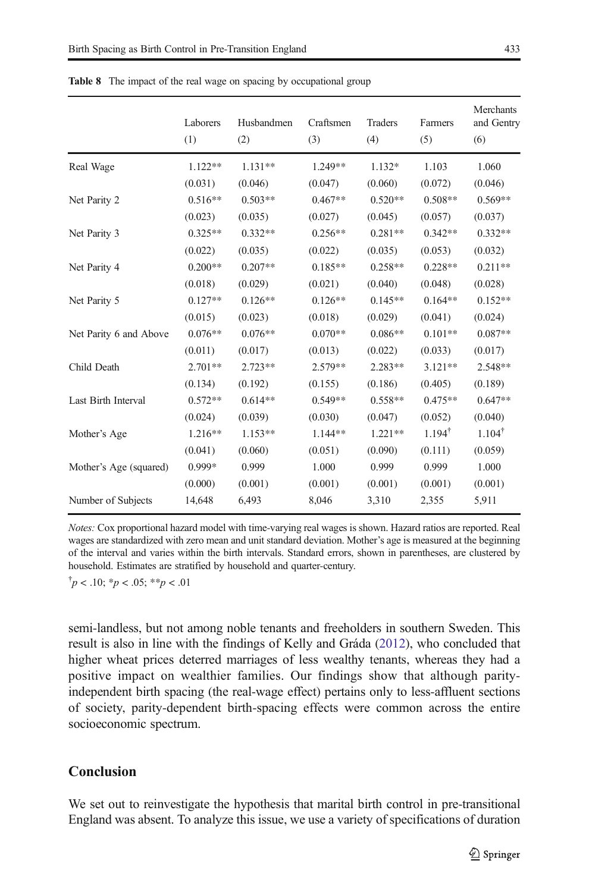|                        | Laborers<br>(1) | Husbandmen<br>(2) | Craftsmen<br>(3) | Traders<br>(4) | Farmers<br>(5)    | Merchants<br>and Gentry<br>(6) |
|------------------------|-----------------|-------------------|------------------|----------------|-------------------|--------------------------------|
| Real Wage              | $1.122**$       | $1.131**$         | 1.249**          | $1.132*$       | 1.103             | 1.060                          |
|                        | (0.031)         | (0.046)           | (0.047)          | (0.060)        | (0.072)           | (0.046)                        |
| Net Parity 2           | $0.516**$       | $0.503**$         | $0.467**$        | $0.520**$      | $0.508**$         | $0.569**$                      |
|                        | (0.023)         | (0.035)           | (0.027)          | (0.045)        | (0.057)           | (0.037)                        |
| Net Parity 3           | $0.325**$       | $0.332**$         | $0.256**$        | $0.281**$      | $0.342**$         | $0.332**$                      |
|                        | (0.022)         | (0.035)           | (0.022)          | (0.035)        | (0.053)           | (0.032)                        |
| Net Parity 4           | $0.200**$       | $0.207**$         | $0.185**$        | $0.258**$      | $0.228**$         | $0.211**$                      |
|                        | (0.018)         | (0.029)           | (0.021)          | (0.040)        | (0.048)           | (0.028)                        |
| Net Parity 5           | $0.127**$       | $0.126**$         | $0.126**$        | $0.145**$      | $0.164**$         | $0.152**$                      |
|                        | (0.015)         | (0.023)           | (0.018)          | (0.029)        | (0.041)           | (0.024)                        |
| Net Parity 6 and Above | $0.076**$       | $0.076**$         | $0.070**$        | $0.086**$      | $0.101**$         | $0.087**$                      |
|                        | (0.011)         | (0.017)           | (0.013)          | (0.022)        | (0.033)           | (0.017)                        |
| Child Death            | $2.701**$       | $2.723**$         | 2.579**          | $2.283**$      | $3.121**$         | 2.548**                        |
|                        | (0.134)         | (0.192)           | (0.155)          | (0.186)        | (0.405)           | (0.189)                        |
| Last Birth Interval    | $0.572**$       | $0.614**$         | $0.549**$        | $0.558**$      | $0.475**$         | $0.647**$                      |
|                        | (0.024)         | (0.039)           | (0.030)          | (0.047)        | (0.052)           | (0.040)                        |
| Mother's Age           | $1.216**$       | $1.153**$         | 1.144**          | $1.221**$      | $1.194^{\dagger}$ | $1.104^{\dagger}$              |
|                        | (0.041)         | (0.060)           | (0.051)          | (0.090)        | (0.111)           | (0.059)                        |
| Mother's Age (squared) | 0.999*          | 0.999             | 1.000            | 0.999          | 0.999             | 1.000                          |
|                        | (0.000)         | (0.001)           | (0.001)          | (0.001)        | (0.001)           | (0.001)                        |
| Number of Subjects     | 14,648          | 6,493             | 8,046            | 3,310          | 2,355             | 5,911                          |

<span id="page-20-0"></span>Table 8 The impact of the real wage on spacing by occupational group

Notes: Cox proportional hazard model with time-varying real wages is shown. Hazard ratios are reported. Real wages are standardized with zero mean and unit standard deviation. Mother's age is measured at the beginning of the interval and varies within the birth intervals. Standard errors, shown in parentheses, are clustered by household. Estimates are stratified by household and quarter-century.

 $\phi$  < .10; \*p < .05; \*\*p < .01

semi-landless, but not among noble tenants and freeholders in southern Sweden. This result is also in line with the findings of Kelly and Gráda [\(2012\)](#page-22-0), who concluded that higher wheat prices deterred marriages of less wealthy tenants, whereas they had a positive impact on wealthier families. Our findings show that although parityindependent birth spacing (the real-wage effect) pertains only to less-affluent sections of society, parity-dependent birth-spacing effects were common across the entire socioeconomic spectrum.

# **Conclusion**

We set out to reinvestigate the hypothesis that marital birth control in pre-transitional England was absent. To analyze this issue, we use a variety of specifications of duration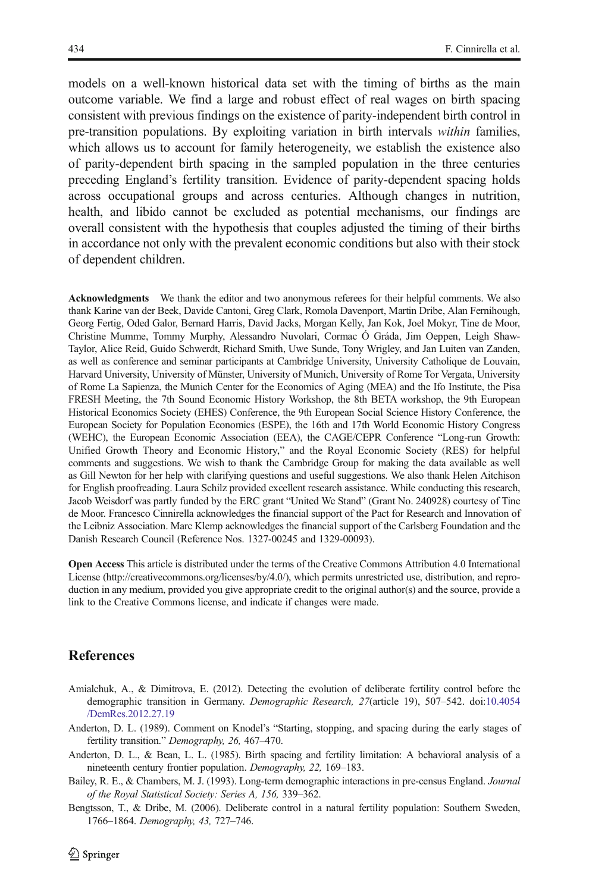<span id="page-21-0"></span>models on a well-known historical data set with the timing of births as the main outcome variable. We find a large and robust effect of real wages on birth spacing consistent with previous findings on the existence of parity-independent birth control in pre-transition populations. By exploiting variation in birth intervals within families, which allows us to account for family heterogeneity, we establish the existence also of parity-dependent birth spacing in the sampled population in the three centuries preceding England's fertility transition. Evidence of parity-dependent spacing holds across occupational groups and across centuries. Although changes in nutrition, health, and libido cannot be excluded as potential mechanisms, our findings are overall consistent with the hypothesis that couples adjusted the timing of their births in accordance not only with the prevalent economic conditions but also with their stock of dependent children.

Acknowledgments We thank the editor and two anonymous referees for their helpful comments. We also thank Karine van der Beek, Davide Cantoni, Greg Clark, Romola Davenport, Martin Dribe, Alan Fernihough, Georg Fertig, Oded Galor, Bernard Harris, David Jacks, Morgan Kelly, Jan Kok, Joel Mokyr, Tine de Moor, Christine Mumme, Tommy Murphy, Alessandro Nuvolari, Cormac Ó Gráda, Jim Oeppen, Leigh Shaw-Taylor, Alice Reid, Guido Schwerdt, Richard Smith, Uwe Sunde, Tony Wrigley, and Jan Luiten van Zanden, as well as conference and seminar participants at Cambridge University, University Catholique de Louvain, Harvard University, University of Münster, University of Munich, University of Rome Tor Vergata, University of Rome La Sapienza, the Munich Center for the Economics of Aging (MEA) and the Ifo Institute, the Pisa FRESH Meeting, the 7th Sound Economic History Workshop, the 8th BETA workshop, the 9th European Historical Economics Society (EHES) Conference, the 9th European Social Science History Conference, the European Society for Population Economics (ESPE), the 16th and 17th World Economic History Congress (WEHC), the European Economic Association (EEA), the CAGE/CEPR Conference "Long-run Growth: Unified Growth Theory and Economic History," and the Royal Economic Society (RES) for helpful comments and suggestions. We wish to thank the Cambridge Group for making the data available as well as Gill Newton for her help with clarifying questions and useful suggestions. We also thank Helen Aitchison for English proofreading. Laura Schilz provided excellent research assistance. While conducting this research, Jacob Weisdorf was partly funded by the ERC grant "United We Stand" (Grant No. 240928) courtesy of Tine de Moor. Francesco Cinnirella acknowledges the financial support of the Pact for Research and Innovation of the Leibniz Association. Marc Klemp acknowledges the financial support of the Carlsberg Foundation and the Danish Research Council (Reference Nos. 1327-00245 and 1329-00093).

Open Access This article is distributed under the terms of the Creative Commons Attribution 4.0 International License (http://creativecommons.org/licenses/by/4.0/), which permits unrestricted use, distribution, and reproduction in any medium, provided you give appropriate credit to the original author(s) and the source, provide a link to the Creative Commons license, and indicate if changes were made.

# **References**

- Amialchuk, A., & Dimitrova, E. (2012). Detecting the evolution of deliberate fertility control before the demographic transition in Germany. Demographic Research, 27(article 19), 507–542. doi:[10.4054](http://dx.doi.org/10.4054/DemRes.2012.27.19) [/DemRes.2012.27.19](http://dx.doi.org/10.4054/DemRes.2012.27.19)
- Anderton, D. L. (1989). Comment on Knodel's "Starting, stopping, and spacing during the early stages of fertility transition." Demography, 26, 467–470.
- Anderton, D. L., & Bean, L. L. (1985). Birth spacing and fertility limitation: A behavioral analysis of a nineteenth century frontier population. Demography, 22, 169–183.
- Bailey, R. E., & Chambers, M. J. (1993). Long-term demographic interactions in pre-census England. Journal of the Royal Statistical Society: Series A, 156, 339–362.
- Bengtsson, T., & Dribe, M. (2006). Deliberate control in a natural fertility population: Southern Sweden, 1766–1864. Demography, 43, 727–746.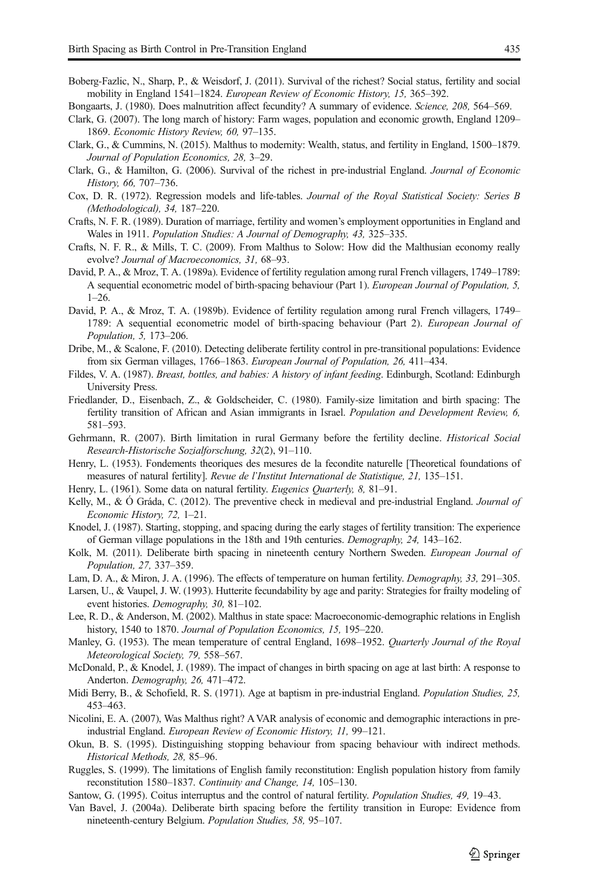- <span id="page-22-0"></span>Boberg-Fazlic, N., Sharp, P., & Weisdorf, J. (2011). Survival of the richest? Social status, fertility and social mobility in England 1541–1824. European Review of Economic History, 15, 365–392.
- Bongaarts, J. (1980). Does malnutrition affect fecundity? A summary of evidence. Science, 208, 564–569.
- Clark, G. (2007). The long march of history: Farm wages, population and economic growth, England 1209– 1869. Economic History Review, 60, 97–135.
- Clark, G., & Cummins, N. (2015). Malthus to modernity: Wealth, status, and fertility in England, 1500–1879. Journal of Population Economics, 28, 3–29.
- Clark, G., & Hamilton, G. (2006). Survival of the richest in pre-industrial England. Journal of Economic History, 66, 707–736.
- Cox, D. R. (1972). Regression models and life-tables. Journal of the Royal Statistical Society: Series B (Methodological), 34, 187–220.
- Crafts, N. F. R. (1989). Duration of marriage, fertility and women's employment opportunities in England and Wales in 1911. Population Studies: A Journal of Demography, 43, 325–335.
- Crafts, N. F. R., & Mills, T. C. (2009). From Malthus to Solow: How did the Malthusian economy really evolve? Journal of Macroeconomics, 31, 68–93.
- David, P. A., & Mroz, T. A. (1989a). Evidence of fertility regulation among rural French villagers, 1749–1789: A sequential econometric model of birth-spacing behaviour (Part 1). European Journal of Population, 5, 1–26.
- David, P. A., & Mroz, T. A. (1989b). Evidence of fertility regulation among rural French villagers, 1749– 1789: A sequential econometric model of birth-spacing behaviour (Part 2). European Journal of Population, 5, 173–206.
- Dribe, M., & Scalone, F. (2010). Detecting deliberate fertility control in pre-transitional populations: Evidence from six German villages, 1766–1863. European Journal of Population, 26, 411–434.
- Fildes, V. A. (1987). *Breast, bottles, and babies: A history of infant feeding*. Edinburgh, Scotland: Edinburgh University Press.
- Friedlander, D., Eisenbach, Z., & Goldscheider, C. (1980). Family-size limitation and birth spacing: The fertility transition of African and Asian immigrants in Israel. Population and Development Review, 6, 581–593.
- Gehrmann, R. (2007). Birth limitation in rural Germany before the fertility decline. Historical Social Research-Historische Sozialforschung, 32(2), 91–110.
- Henry, L. (1953). Fondements theoriques des mesures de la fecondite naturelle [Theoretical foundations of measures of natural fertility]. Revue de l'Institut International de Statistique, 21, 135–151.
- Henry, L. (1961). Some data on natural fertility. Eugenics Quarterly, 8, 81-91.
- Kelly, M., & Ó Gráda, C. (2012). The preventive check in medieval and pre-industrial England. Journal of Economic History, 72, 1–21.
- Knodel, J. (1987). Starting, stopping, and spacing during the early stages of fertility transition: The experience of German village populations in the 18th and 19th centuries. Demography, 24, 143–162.
- Kolk, M. (2011). Deliberate birth spacing in nineteenth century Northern Sweden. European Journal of Population, 27, 337–359.
- Lam, D. A., & Miron, J. A. (1996). The effects of temperature on human fertility. *Demography*, 33, 291–305.
- Larsen, U., & Vaupel, J. W. (1993). Hutterite fecundability by age and parity: Strategies for frailty modeling of event histories. Demography, 30, 81–102.
- Lee, R. D., & Anderson, M. (2002). Malthus in state space: Macroeconomic-demographic relations in English history, 1540 to 1870. Journal of Population Economics, 15, 195–220.
- Manley, G. (1953). The mean temperature of central England, 1698-1952. Quarterly Journal of the Royal Meteorological Society, 79, 558–567.
- McDonald, P., & Knodel, J. (1989). The impact of changes in birth spacing on age at last birth: A response to Anderton. Demography, 26, 471–472.
- Midi Berry, B., & Schofield, R. S. (1971). Age at baptism in pre-industrial England. Population Studies, 25, 453–463.
- Nicolini, E. A. (2007), Was Malthus right? AVAR analysis of economic and demographic interactions in preindustrial England. European Review of Economic History, 11, 99–121.
- Okun, B. S. (1995). Distinguishing stopping behaviour from spacing behaviour with indirect methods. Historical Methods, 28, 85–96.
- Ruggles, S. (1999). The limitations of English family reconstitution: English population history from family reconstitution 1580–1837. Continuity and Change, 14, 105–130.
- Santow, G. (1995). Coitus interruptus and the control of natural fertility. Population Studies, 49, 19–43.
- Van Bavel, J. (2004a). Deliberate birth spacing before the fertility transition in Europe: Evidence from nineteenth-century Belgium. Population Studies, 58, 95–107.